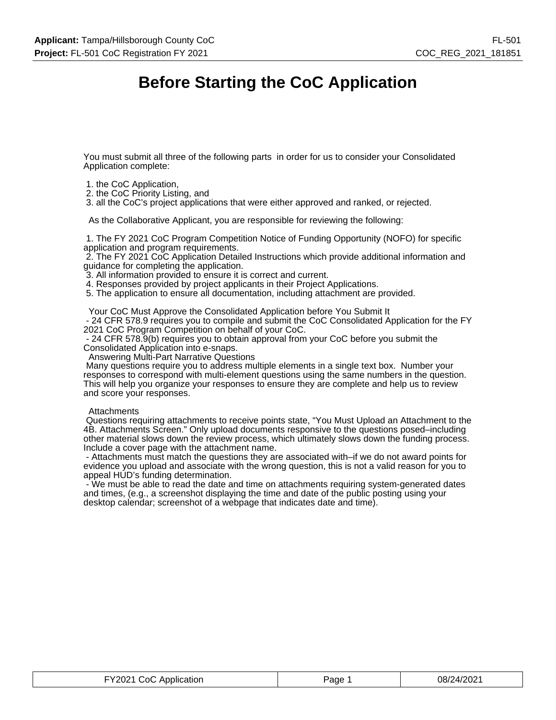## **Before Starting the CoC Application**

You must submit all three of the following parts in order for us to consider your Consolidated Application complete:

- 1. the CoC Application,
- 2. the CoC Priority Listing, and

3. all the CoC's project applications that were either approved and ranked, or rejected.

As the Collaborative Applicant, you are responsible for reviewing the following:

 1. The FY 2021 CoC Program Competition Notice of Funding Opportunity (NOFO) for specific application and program requirements.

 2. The FY 2021 CoC Application Detailed Instructions which provide additional information and guidance for completing the application.

3. All information provided to ensure it is correct and current.

4. Responses provided by project applicants in their Project Applications.

5. The application to ensure all documentation, including attachment are provided.

Your CoC Must Approve the Consolidated Application before You Submit It

 - 24 CFR 578.9 requires you to compile and submit the CoC Consolidated Application for the FY 2021 CoC Program Competition on behalf of your CoC.

 - 24 CFR 578.9(b) requires you to obtain approval from your CoC before you submit the Consolidated Application into e-snaps.

Answering Multi-Part Narrative Questions

 Many questions require you to address multiple elements in a single text box. Number your responses to correspond with multi-element questions using the same numbers in the question. This will help you organize your responses to ensure they are complete and help us to review and score your responses.

#### **Attachments**

 Questions requiring attachments to receive points state, "You Must Upload an Attachment to the 4B. Attachments Screen." Only upload documents responsive to the questions posed–including other material slows down the review process, which ultimately slows down the funding process. Include a cover page with the attachment name.

 - Attachments must match the questions they are associated with–if we do not award points for evidence you upload and associate with the wrong question, this is not a valid reason for you to appeal HUD's funding determination.

 - We must be able to read the date and time on attachments requiring system-generated dates and times, (e.g., a screenshot displaying the time and date of the public posting using your desktop calendar; screenshot of a webpage that indicates date and time).

| FY2021 CoC Application | Page 1 | 08/24/2021 |
|------------------------|--------|------------|
|------------------------|--------|------------|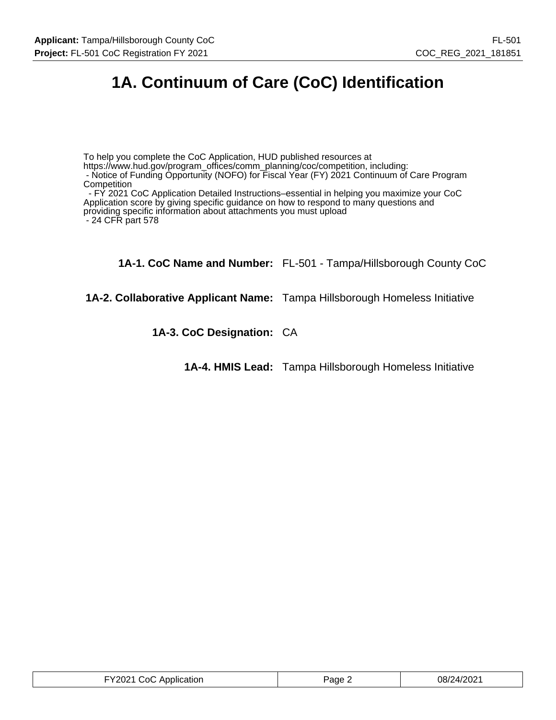# **1A. Continuum of Care (CoC) Identification**

To help you complete the CoC Application, HUD published resources at

https://www.hud.gov/program\_offices/comm\_planning/coc/competition, including:

- Notice of Funding Opportunity (NOFO) for Fiscal Year (FY) 2021 Continuum of Care Program **Competition** 

 - FY 2021 CoC Application Detailed Instructions–essential in helping you maximize your CoC Application score by giving specific guidance on how to respond to many questions and providing specific information about attachments you must upload - 24 CFR part 578

**1A-1. CoC Name and Number:** FL-501 - Tampa/Hillsborough County CoC

**1A-2. Collaborative Applicant Name:** Tampa Hillsborough Homeless Initiative

**1A-3. CoC Designation:** CA

**1A-4. HMIS Lead:** Tampa Hillsborough Homeless Initiative

| FY2021 CoC Application | Page $\sim$ | 08/24/2021 |
|------------------------|-------------|------------|
|------------------------|-------------|------------|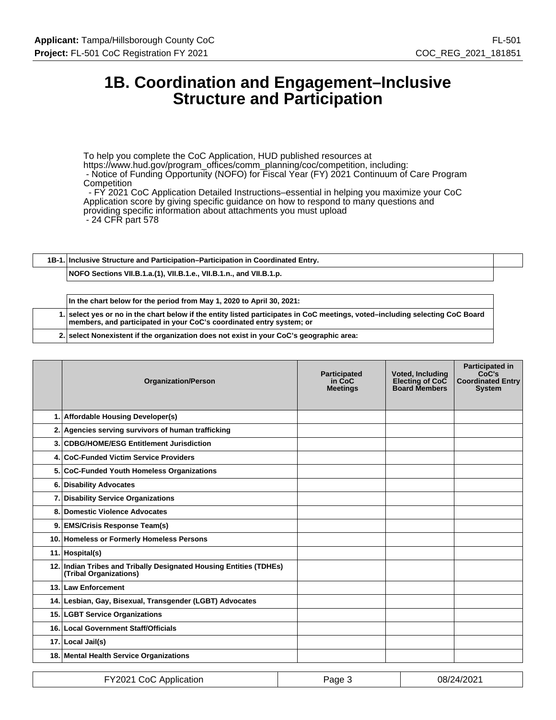## **1B. Coordination and Engagement–Inclusive Structure and Participation**

To help you complete the CoC Application, HUD published resources at https://www.hud.gov/program\_offices/comm\_planning/coc/competition, including: - Notice of Funding Opportunity (NOFO) for Fiscal Year (FY) 2021 Continuum of Care Program **Competition** - FY 2021 CoC Application Detailed Instructions–essential in helping you maximize your CoC

Application score by giving specific guidance on how to respond to many questions and

providing specific information about attachments you must upload

- 24 CFR part 578

**1B-1. Inclusive Structure and Participation–Participation in Coordinated Entry.**

**NOFO Sections VII.B.1.a.(1), VII.B.1.e., VII.B.1.n., and VII.B.1.p.**

**In the chart below for the period from May 1, 2020 to April 30, 2021: 1. select yes or no in the chart below if the entity listed participates in CoC meetings, voted–including selecting CoC Board members, and participated in your CoC's coordinated entry system; or**

**2. select Nonexistent if the organization does not exist in your CoC's geographic area:**

|    | <b>Organization/Person</b>                                                                   | <b>Participated</b><br>in CoC<br><b>Meetings</b> | <b>Voted, Including</b><br>Electing of CoC<br><b>Board Members</b> | <b>Participated in</b><br>CoC's<br><b>Coordinated Entry</b><br><b>System</b> |
|----|----------------------------------------------------------------------------------------------|--------------------------------------------------|--------------------------------------------------------------------|------------------------------------------------------------------------------|
|    | 1. Affordable Housing Developer(s)                                                           |                                                  |                                                                    |                                                                              |
|    | 2. Agencies serving survivors of human trafficking                                           |                                                  |                                                                    |                                                                              |
|    | 3. CDBG/HOME/ESG Entitlement Jurisdiction                                                    |                                                  |                                                                    |                                                                              |
|    | 4. CoC-Funded Victim Service Providers                                                       |                                                  |                                                                    |                                                                              |
|    | 5. CoC-Funded Youth Homeless Organizations                                                   |                                                  |                                                                    |                                                                              |
|    | 6. Disability Advocates                                                                      |                                                  |                                                                    |                                                                              |
|    | 7. Disability Service Organizations                                                          |                                                  |                                                                    |                                                                              |
| 8. | Domestic Violence Advocates                                                                  |                                                  |                                                                    |                                                                              |
|    | 9. EMS/Crisis Response Team(s)                                                               |                                                  |                                                                    |                                                                              |
|    | 10. Homeless or Formerly Homeless Persons                                                    |                                                  |                                                                    |                                                                              |
|    | 11. Hospital(s)                                                                              |                                                  |                                                                    |                                                                              |
|    | 12. Indian Tribes and Tribally Designated Housing Entities (TDHEs)<br>(Tribal Organizations) |                                                  |                                                                    |                                                                              |
|    | 13. Law Enforcement                                                                          |                                                  |                                                                    |                                                                              |
|    | 14. Lesbian, Gay, Bisexual, Transgender (LGBT) Advocates                                     |                                                  |                                                                    |                                                                              |
|    | 15. LGBT Service Organizations                                                               |                                                  |                                                                    |                                                                              |
|    | 16. Local Government Staff/Officials                                                         |                                                  |                                                                    |                                                                              |
|    | 17. Local Jail(s)                                                                            |                                                  |                                                                    |                                                                              |
|    | 18. Mental Health Service Organizations                                                      |                                                  |                                                                    |                                                                              |

| FY2021 CoC Application | Page 3 | 08/24/2021 |
|------------------------|--------|------------|
|------------------------|--------|------------|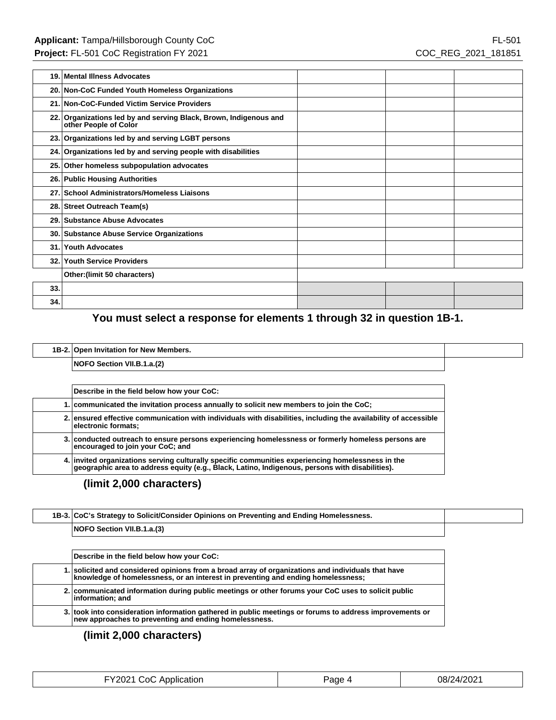| 19. | Mental Illness Advocates                                                                   |  |  |
|-----|--------------------------------------------------------------------------------------------|--|--|
|     | 20. Non-CoC Funded Youth Homeless Organizations                                            |  |  |
|     | 21. Non-CoC-Funded Victim Service Providers                                                |  |  |
|     | 22. Organizations led by and serving Black, Brown, Indigenous and<br>other People of Color |  |  |
|     | 23. Organizations led by and serving LGBT persons                                          |  |  |
|     | 24. Organizations led by and serving people with disabilities                              |  |  |
|     | 25. Other homeless subpopulation advocates                                                 |  |  |
|     | 26. Public Housing Authorities                                                             |  |  |
|     | 27. School Administrators/Homeless Liaisons                                                |  |  |
|     | 28. Street Outreach Team(s)                                                                |  |  |
|     | 29. Substance Abuse Advocates                                                              |  |  |
|     | 30. Substance Abuse Service Organizations                                                  |  |  |
| 31. | <b>Youth Advocates</b>                                                                     |  |  |
|     | 32. Youth Service Providers                                                                |  |  |
|     | Other: (limit 50 characters)                                                               |  |  |
| 33. |                                                                                            |  |  |
| 34. |                                                                                            |  |  |

## **You must select a response for elements 1 through 32 in question 1B-1.**

| 1B-2. Open Invitation for New Members. |  |
|----------------------------------------|--|
| NOFO Section VII.B.1.a.(2)             |  |

| Describe in the field below how your CoC:                                                                                                                                                            |  |
|------------------------------------------------------------------------------------------------------------------------------------------------------------------------------------------------------|--|
| 1. communicated the invitation process annually to solicit new members to join the CoC;                                                                                                              |  |
| 2. ensured effective communication with individuals with disabilities, including the availability of accessible<br>electronic formats;                                                               |  |
| 3. conducted outreach to ensure persons experiencing homelessness or formerly homeless persons are<br>encouraged to join your CoC; and                                                               |  |
| 4. invited organizations serving culturally specific communities experiencing homelessness in the<br>geographic area to address equity (e.g., Black, Latino, Indigenous, persons with disabilities). |  |

## **(limit 2,000 characters)**

| 1B-3. CoC's Strategy to Solicit/Consider Opinions on Preventing and Ending Homelessness. |  |
|------------------------------------------------------------------------------------------|--|
| NOFO Section VII.B.1.a.(3)                                                               |  |
|                                                                                          |  |

| Describe in the field below how your CoC:                                                                                                                                              |
|----------------------------------------------------------------------------------------------------------------------------------------------------------------------------------------|
| 1. solicited and considered opinions from a broad array of organizations and individuals that have<br>knowledge of homelessness, or an interest in preventing and ending homelessness; |
| 2. communicated information during public meetings or other forums your CoC uses to solicit public<br>information; and                                                                 |
| 3. took into consideration information gathered in public meetings or forums to address improvements or<br>new approaches to preventing and ending homelessness.                       |

| FY2021 CoC Application | Page 4 | 08/24/2021 |
|------------------------|--------|------------|
|------------------------|--------|------------|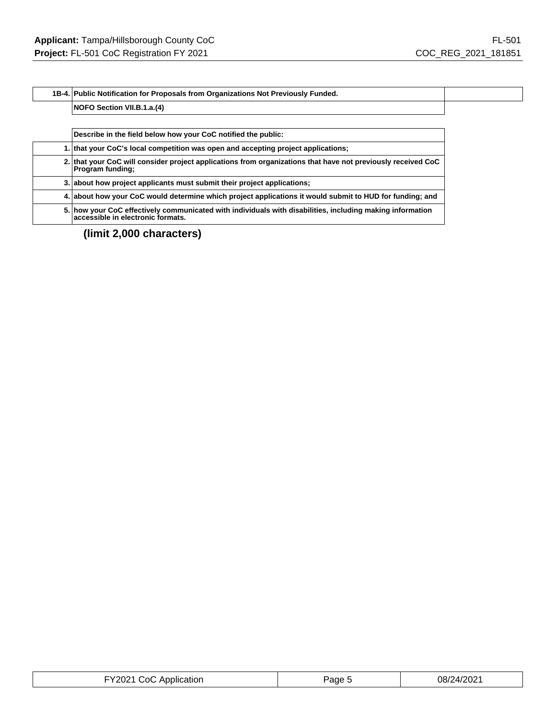#### **1B-4. Public Notification for Proposals from Organizations Not Previously Funded.**

#### **NOFO Section VII.B.1.a.(4)**

| Describe in the field below how your CoC notified the public:                                                                                  |  |
|------------------------------------------------------------------------------------------------------------------------------------------------|--|
| 1. that your CoC's local competition was open and accepting project applications;                                                              |  |
| 2. that your CoC will consider project applications from organizations that have not previously received CoC<br><b>Program funding:</b>        |  |
| 3. about how project applicants must submit their project applications;                                                                        |  |
| 4. about how your CoC would determine which project applications it would submit to HUD for funding; and                                       |  |
| 5. how your CoC effectively communicated with individuals with disabilities, including making information<br>accessible in electronic formats. |  |

| FY2021 CoC Application | Page | 08/24/2021 |
|------------------------|------|------------|
|------------------------|------|------------|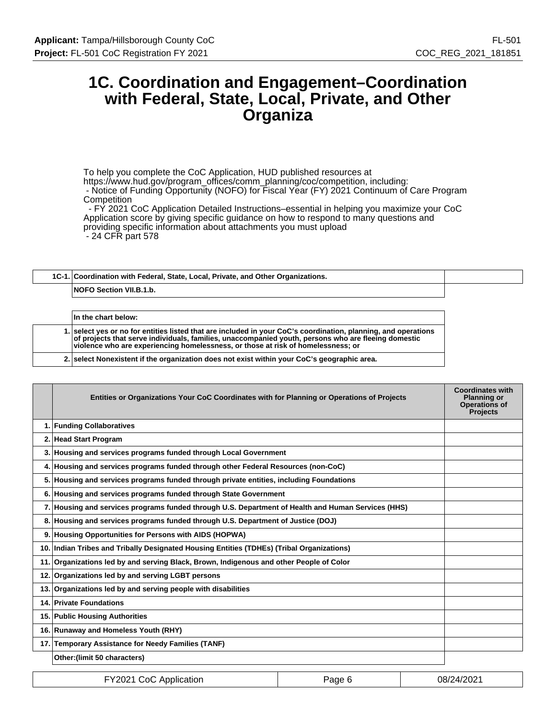## **1C. Coordination and Engagement–Coordination with Federal, State, Local, Private, and Other Organiza**

To help you complete the CoC Application, HUD published resources at https://www.hud.gov/program\_offices/comm\_planning/coc/competition, including: - Notice of Funding Opportunity (NOFO) for Fiscal Year (FY) 2021 Continuum of Care Program **Competition** 

 - FY 2021 CoC Application Detailed Instructions–essential in helping you maximize your CoC Application score by giving specific guidance on how to respond to many questions and providing specific information about attachments you must upload - 24 CFR part 578

## **1C-1. Coordination with Federal, State, Local, Private, and Other Organizations. NOFO Section VII.B.1.b.**

| In the chart below:                                                                                                                                                                                                                                                                                       |
|-----------------------------------------------------------------------------------------------------------------------------------------------------------------------------------------------------------------------------------------------------------------------------------------------------------|
| 1. select yes or no for entities listed that are included in your CoC's coordination, planning, and operations<br>of projects that serve individuals, families, unaccompanied youth, persons who are fleeing domestic<br>violence who are experiencing homelessness, or those at risk of homelessness; or |
| 2. select Nonexistent if the organization does not exist within your CoC's geographic area.                                                                                                                                                                                                               |

| Entities or Organizations Your CoC Coordinates with for Planning or Operations of Projects         | <b>Coordinates with</b><br><b>Planning or</b><br><b>Operations of</b><br><b>Projects</b> |
|----------------------------------------------------------------------------------------------------|------------------------------------------------------------------------------------------|
| 1. Funding Collaboratives                                                                          |                                                                                          |
| 2. Head Start Program                                                                              |                                                                                          |
| 3. Housing and services programs funded through Local Government                                   |                                                                                          |
| 4. Housing and services programs funded through other Federal Resources (non-CoC)                  |                                                                                          |
| 5. Housing and services programs funded through private entities, including Foundations            |                                                                                          |
| 6. Housing and services programs funded through State Government                                   |                                                                                          |
| 7. Housing and services programs funded through U.S. Department of Health and Human Services (HHS) |                                                                                          |
| 8. Housing and services programs funded through U.S. Department of Justice (DOJ)                   |                                                                                          |
| 9. Housing Opportunities for Persons with AIDS (HOPWA)                                             |                                                                                          |
| 10. Indian Tribes and Tribally Designated Housing Entities (TDHEs) (Tribal Organizations)          |                                                                                          |
| 11. Organizations led by and serving Black, Brown, Indigenous and other People of Color            |                                                                                          |
| 12. Organizations led by and serving LGBT persons                                                  |                                                                                          |
| 13. Organizations led by and serving people with disabilities                                      |                                                                                          |
| 14. Private Foundations                                                                            |                                                                                          |
| 15. Public Housing Authorities                                                                     |                                                                                          |
| 16. Runaway and Homeless Youth (RHY)                                                               |                                                                                          |
| 17. Temporary Assistance for Needy Families (TANF)                                                 |                                                                                          |
| Other: (limit 50 characters)                                                                       |                                                                                          |

| FY2021 CoC Application | Page 6 | 08/24/2021 |
|------------------------|--------|------------|
|------------------------|--------|------------|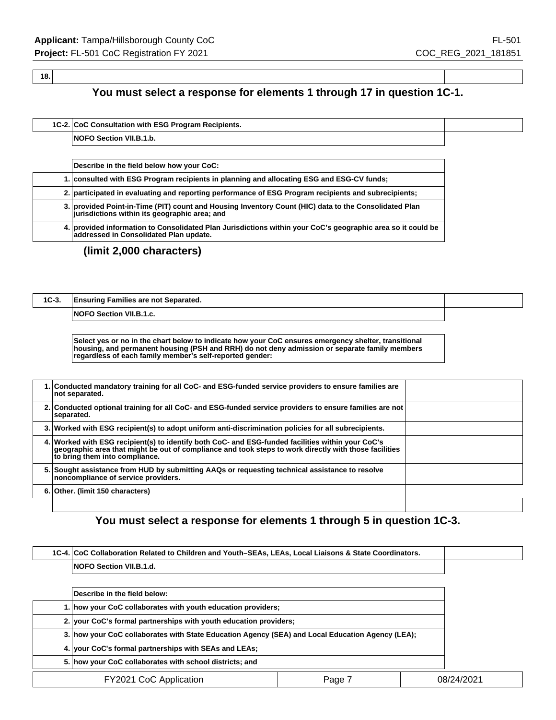#### **18.**

**You must select a response for elements 1 through 17 in question 1C-1.**

|  | 1C-2. CoC Consultation with ESG Program Recipients. |  |
|--|-----------------------------------------------------|--|
|  | <b>NOFO Section VII.B.1.b.</b>                      |  |

| Describe in the field below how your CoC:                                                                                                              |
|--------------------------------------------------------------------------------------------------------------------------------------------------------|
| 1. consulted with ESG Program recipients in planning and allocating ESG and ESG-CV funds;                                                              |
| 2. participated in evaluating and reporting performance of ESG Program recipients and subrecipients;                                                   |
| 3. provided Point-in-Time (PIT) count and Housing Inventory Count (HIC) data to the Consolidated Plan<br>jurisdictions within its geographic area; and |
| 4. provided information to Consolidated Plan Jurisdictions within your CoC's geographic area so it could be<br>addressed in Consolidated Plan update.  |

## **(limit 2,000 characters)**

| $1C-3.$ | <b>Ensuring Families are not Separated.</b> |  |
|---------|---------------------------------------------|--|
|         | NOFO Section VII.B.1.c.                     |  |
|         |                                             |  |

**Select yes or no in the chart below to indicate how your CoC ensures emergency shelter, transitional housing, and permanent housing (PSH and RRH) do not deny admission or separate family members regardless of each family member's self-reported gender:**

| 1. Conducted mandatory training for all CoC- and ESG-funded service providers to ensure families are<br>not separated.                                                                                                                       |  |
|----------------------------------------------------------------------------------------------------------------------------------------------------------------------------------------------------------------------------------------------|--|
| 2. Conducted optional training for all CoC- and ESG-funded service providers to ensure families are not<br>separated.                                                                                                                        |  |
| 3. Worked with ESG recipient(s) to adopt uniform anti-discrimination policies for all subrecipients.                                                                                                                                         |  |
| 4. Worked with ESG recipient(s) to identify both CoC- and ESG-funded facilities within your CoC's<br>geographic area that might be out of compliance and took steps to work directly with those facilities<br>to bring them into compliance. |  |
| 5. Sought assistance from HUD by submitting AAQs or requesting technical assistance to resolve<br>noncompliance of service providers.                                                                                                        |  |
| 6. Other. (limit 150 characters)                                                                                                                                                                                                             |  |
|                                                                                                                                                                                                                                              |  |

## **You must select a response for elements 1 through 5 in question 1C-3.**

| 1C-4. CoC Collaboration Related to Children and Youth-SEAs, LEAs, Local Liaisons & State Coordinators. |        |            |
|--------------------------------------------------------------------------------------------------------|--------|------------|
| NOFO Section VII.B.1.d.                                                                                |        |            |
|                                                                                                        |        |            |
| Describe in the field below:                                                                           |        |            |
| 1. how your CoC collaborates with youth education providers;                                           |        |            |
| 2. your CoC's formal partnerships with youth education providers;                                      |        |            |
| 3. how your CoC collaborates with State Education Agency (SEA) and Local Education Agency (LEA);       |        |            |
| 4. Vour CoC's formal partnerships with SEAs and LEAs;                                                  |        |            |
| 5. how your CoC collaborates with school districts; and                                                |        |            |
| FY2021 CoC Application                                                                                 | Page 7 | 08/24/2021 |
|                                                                                                        |        |            |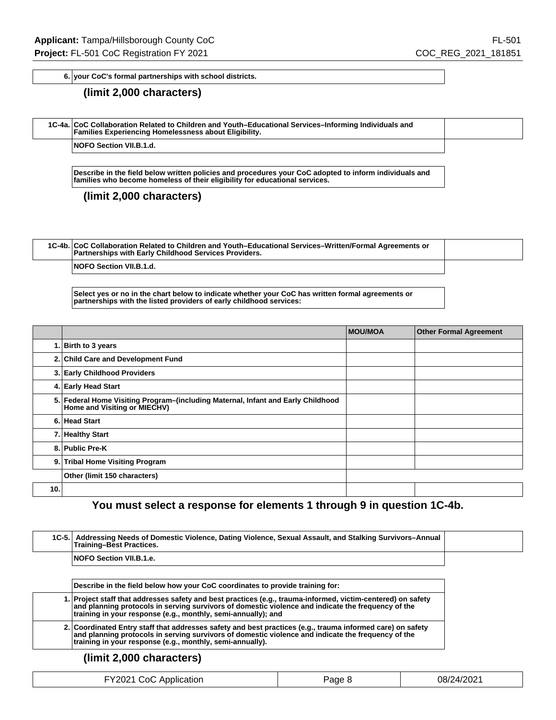**6. your CoC's formal partnerships with school districts.**

#### **(limit 2,000 characters)**

| 1C-4a. CoC Collaboration Related to Children and Youth-Educational Services-Informing Individuals and<br><b>Families Experiencing Homelessness about Eligibility.</b> |  |
|-----------------------------------------------------------------------------------------------------------------------------------------------------------------------|--|
| <b>INOEO Section VII R 1 d</b>                                                                                                                                        |  |

Section VII.B.1.d.

**Describe in the field below written policies and procedures your CoC adopted to inform individuals and families who become homeless of their eligibility for educational services.**

**(limit 2,000 characters)**

| 1C-4b. CoC Collaboration Related to Children and Youth–Educational Services–Written/Formal Agreements or<br>Partnerships with Early Childhood Services Providers. |  |
|-------------------------------------------------------------------------------------------------------------------------------------------------------------------|--|
| <b>NOFO Section VII.B.1.d.</b>                                                                                                                                    |  |

**Select yes or no in the chart below to indicate whether your CoC has written formal agreements or partnerships with the listed providers of early childhood services:**

|     |                                                                                                                  | <b>MOU/MOA</b> | <b>Other Formal Agreement</b> |
|-----|------------------------------------------------------------------------------------------------------------------|----------------|-------------------------------|
|     | 1. Birth to 3 years                                                                                              |                |                               |
|     | 2. Child Care and Development Fund                                                                               |                |                               |
|     | 3. Early Childhood Providers                                                                                     |                |                               |
|     | 4. Early Head Start                                                                                              |                |                               |
|     | 5. Federal Home Visiting Program-(including Maternal, Infant and Early Childhood<br>Home and Visiting or MIECHV) |                |                               |
|     | 6. Head Start                                                                                                    |                |                               |
|     | 7. Healthy Start                                                                                                 |                |                               |
|     | 8. Public Pre-K                                                                                                  |                |                               |
|     | 9. Tribal Home Visiting Program                                                                                  |                |                               |
|     | Other (limit 150 characters)                                                                                     |                |                               |
| 10. |                                                                                                                  |                |                               |

## **You must select a response for elements 1 through 9 in question 1C-4b.**

| 1C-5. Addressing Needs of Domestic Violence, Dating Violence, Sexual Assault, and Stalking Survivors–Annual<br><b>Training-Best Practices.</b>                                                                                                                                      |
|-------------------------------------------------------------------------------------------------------------------------------------------------------------------------------------------------------------------------------------------------------------------------------------|
| <b>NOFO Section VII.B.1.e.</b>                                                                                                                                                                                                                                                      |
|                                                                                                                                                                                                                                                                                     |
| Describe in the field below how your CoC coordinates to provide training for:                                                                                                                                                                                                       |
| 1. Project staff that addresses safety and best practices (e.g., trauma-informed, victim-centered) on safety<br>and planning protocols in serving survivors of domestic violence and indicate the frequency of the<br>training in your response (e.g., monthly, semi-annually); and |
| 2. Coordinated Entry staff that addresses safety and best practices (e.g., trauma informed care) on safety<br>and planning protocols in serving survivors of domestic violence and indicate the frequency of the<br>training in your response (e.g., monthly, semi-annually).       |

| FY2021 CoC Application | יaαe 8 | 08/24/2021 |
|------------------------|--------|------------|
|------------------------|--------|------------|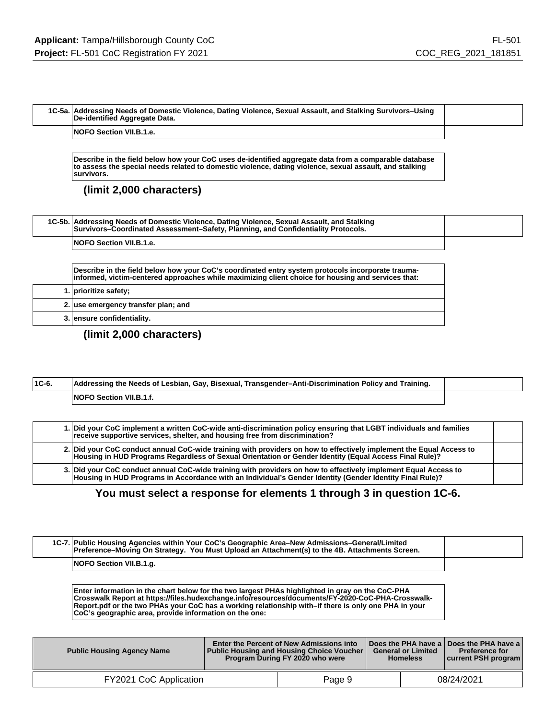| 1C-5a. Addressing Needs of Domestic Violence, Dating Violence, Sexual Assault, and Stalking Survivors–Using<br>De-identified Aggregate Data. |  |
|----------------------------------------------------------------------------------------------------------------------------------------------|--|
| <b>NOFO Section VII.B.1.e.</b>                                                                                                               |  |

**Describe in the field below how your CoC uses de-identified aggregate data from a comparable database to assess the special needs related to domestic violence, dating violence, sexual assault, and stalking survivors.**

#### **(limit 2,000 characters)**

| 1C-5b. Addressing Needs of Domestic Violence, Dating Violence, Sexual Assault, and Stalking<br>Survivors-Coordinated Assessment-Safety, Planning, and Confidentiality Protocols. |  |
|----------------------------------------------------------------------------------------------------------------------------------------------------------------------------------|--|
| <b>NOFO Section VII.B.1.e.</b>                                                                                                                                                   |  |

**Describe in the field below how your CoC's coordinated entry system protocols incorporate traumainformed, victim-centered approaches while maximizing client choice for housing and services that:**

|  | 1. prioritize safety;               |
|--|-------------------------------------|
|  | 2. use emergency transfer plan; and |
|  | 3. ensure confidentiality.          |

**(limit 2,000 characters)**

| $ 1C-6 $ | Addressing the Needs of Lesbian, Gay, Bisexual, Transgender–Anti-Discrimination Policy and Training. |  |
|----------|------------------------------------------------------------------------------------------------------|--|
|          | <b>NOFO Section VII.B.1.f.</b>                                                                       |  |

|  | 1. Did your CoC implement a written CoC-wide anti-discrimination policy ensuring that LGBT individuals and families<br>receive supportive services, shelter, and housing free from discrimination?                              |  |
|--|---------------------------------------------------------------------------------------------------------------------------------------------------------------------------------------------------------------------------------|--|
|  | 2.   Did your CoC conduct annual CoC-wide training with providers on how to effectively implement the Equal Access to<br>Housing in HUD Programs Regardless of Sexual Orientation or Gender Identity (Equal Access Final Rule)? |  |
|  | 3. Did your CoC conduct annual CoC-wide training with providers on how to effectively implement Equal Access to<br>Housing in HUD Programs in Accordance with an Individual's Gender Identity (Gender Identity Final Rule)?     |  |

## **You must select a response for elements 1 through 3 in question 1C-6.**

| 1C-7. Public Housing Agencies within Your CoC's Geographic Area–New Admissions–General/Limited<br>Preference-Moving On Strategy. You Must Upload an Attachment(s) to the 4B. Attachments Screen.                                                                                                                                                                        |  |
|-------------------------------------------------------------------------------------------------------------------------------------------------------------------------------------------------------------------------------------------------------------------------------------------------------------------------------------------------------------------------|--|
| NOFO Section VII.B.1.g.                                                                                                                                                                                                                                                                                                                                                 |  |
| Enter information in the chart below for the two largest PHAs highlighted in gray on the CoC-PHA<br>Crosswalk Report at https://files.hudexchange.info/resources/documents/FY-2020-CoC-PHA-Crosswalk-<br>Report.pdf or the two PHAs your CoC has a working relationship with-if there is only one PHA in your<br>CoC's geographic area, provide information on the one: |  |

| <b>Public Housing Agency Name</b> | <b>Enter the Percent of New Admissions into</b><br>  Public Housing and Housing Choice Voucher  <br>Program During FY 2020 who were | <b>General or Limited</b><br><b>Homeless</b> | ∣ Does the PHA have a ∣ Does the PHA have a ∣<br><b>Preference for</b><br>current PSH program |
|-----------------------------------|-------------------------------------------------------------------------------------------------------------------------------------|----------------------------------------------|-----------------------------------------------------------------------------------------------|
| FY2021 CoC Application            | Page 9                                                                                                                              |                                              | 08/24/2021                                                                                    |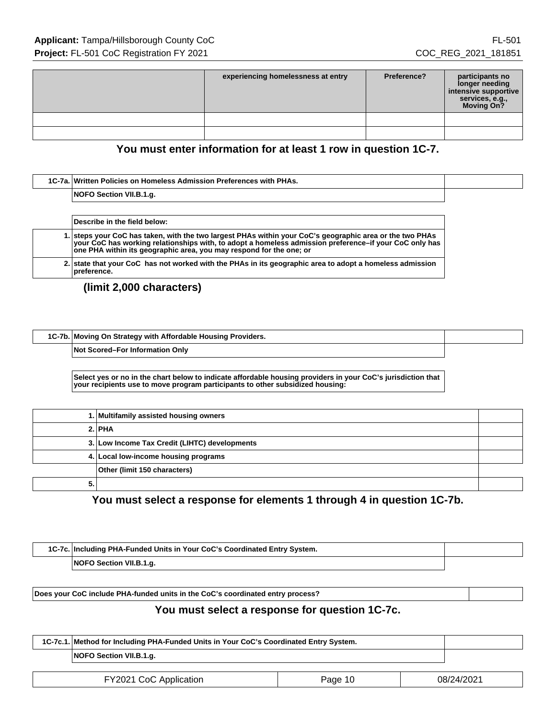| experiencing homelessness at entry | Preference? | participants no<br>longer needing<br>intensive supportive<br>services, e.g.,<br>Moving On? |
|------------------------------------|-------------|--------------------------------------------------------------------------------------------|
|                                    |             |                                                                                            |
|                                    |             |                                                                                            |

## **You must enter information for at least 1 row in question 1C-7.**

| 1C-7a. Written Policies on Homeless Admission Preferences with PHAs. |  |
|----------------------------------------------------------------------|--|
| NOFO Section VII.B.1.g.                                              |  |
|                                                                      |  |

|  | Describe in the field below:                                                                                                                                                                                                                                                              |  |
|--|-------------------------------------------------------------------------------------------------------------------------------------------------------------------------------------------------------------------------------------------------------------------------------------------|--|
|  | 1. steps your CoC has taken, with the two largest PHAs within your CoC's geographic area or the two PHAs<br>your CoC has working relationships with, to adopt a homeless admission preference-if your CoC only has<br>one PHA within its geographic area, you may respond for the one; or |  |
|  | 2. state that your CoC has not worked with the PHAs in its geographic area to adopt a homeless admission<br>preference.                                                                                                                                                                   |  |

**(limit 2,000 characters)**

**1C-7b. Moving On Strategy with Affordable Housing Providers.**

**Not Scored–For Information Only**

**Select yes or no in the chart below to indicate affordable housing providers in your CoC's jurisdiction that your recipients use to move program participants to other subsidized housing:**

|    | 1. Multifamily assisted housing owners        |  |
|----|-----------------------------------------------|--|
|    | 2. PHA                                        |  |
|    | 3. Low Income Tax Credit (LIHTC) developments |  |
|    | 4. Local low-income housing programs          |  |
|    | Other (limit 150 characters)                  |  |
| Э. |                                               |  |

**You must select a response for elements 1 through 4 in question 1C-7b.**

| 1C-7c. Including PHA-Funded Units in Your CoC's Coordinated Entry System. |  |
|---------------------------------------------------------------------------|--|
| NOFO Section VII.B.1.g.                                                   |  |

**Does your CoC include PHA-funded units in the CoC's coordinated entry process?**

### **You must select a response for question 1C-7c.**

| 1C-7c.1. Method for Including PHA-Funded Units in Your CoC's Coordinated Entry System. |  |
|----------------------------------------------------------------------------------------|--|
| NOFO Section VII.B.1.g.                                                                |  |
|                                                                                        |  |

| FY2021 CoC Application | Page 10 | 08/24/2021 |
|------------------------|---------|------------|
|------------------------|---------|------------|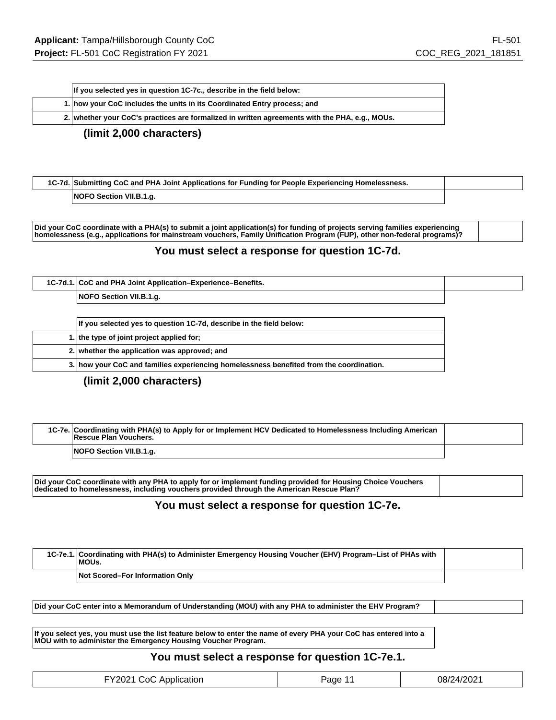| If you selected yes in question 1C-7c., describe in the field below:                           |  |
|------------------------------------------------------------------------------------------------|--|
| 1. how your CoC includes the units in its Coordinated Entry process; and                       |  |
| 2. whether your CoC's practices are formalized in written agreements with the PHA, e.g., MOUs. |  |

#### **(limit 2,000 characters)**

| 1C-7d. Submitting CoC and PHA Joint Applications for Funding for People Experiencing Homelessness. |  |  |
|----------------------------------------------------------------------------------------------------|--|--|
| NOFO Section VII.B.1.g.                                                                            |  |  |

**Did your CoC coordinate with a PHA(s) to submit a joint application(s) for funding of projects serving families experiencing homelessness (e.g., applications for mainstream vouchers, Family Unification Program (FUP), other non-federal programs)?**

#### **You must select a response for question 1C-7d.**

| 1C-7d.1. CoC and PHA Joint Application-Experience-Benefits. |  |
|-------------------------------------------------------------|--|
| NOFO Section VII.B.1.g.                                     |  |

| If you selected yes to question 1C-7d, describe in the field below:                     |
|-----------------------------------------------------------------------------------------|
| 1. the type of joint project applied for;                                               |
| 2. whether the application was approved; and                                            |
| 3. how your CoC and families experiencing homelessness benefited from the coordination. |

#### **(limit 2,000 characters)**

| 1C-7e. Coordinating with PHA(s) to Apply for or Implement HCV Dedicated to Homelessness Including American<br>Rescue Plan Vouchers. |  |
|-------------------------------------------------------------------------------------------------------------------------------------|--|
| NOFO Section VII.B.1.g.                                                                                                             |  |

**Did your CoC coordinate with any PHA to apply for or implement funding provided for Housing Choice Vouchers dedicated to homelessness, including vouchers provided through the American Rescue Plan?**

#### **You must select a response for question 1C-7e.**

| 1C-7e.1. Coordinating with PHA(s) to Administer Emergency Housing Voucher (EHV) Program–List of PHAs with<br>MOUs. |  |
|--------------------------------------------------------------------------------------------------------------------|--|
| Not Scored–For Information Only                                                                                    |  |

**Did your CoC enter into a Memorandum of Understanding (MOU) with any PHA to administer the EHV Program?**

**If you select yes, you must use the list feature below to enter the name of every PHA your CoC has entered into a MOU with to administer the Emergency Housing Voucher Program.**

## **You must select a response for question 1C-7e.1.**

| FY2021 CoC Application | Page 11 | 08/24/2021 |
|------------------------|---------|------------|
|------------------------|---------|------------|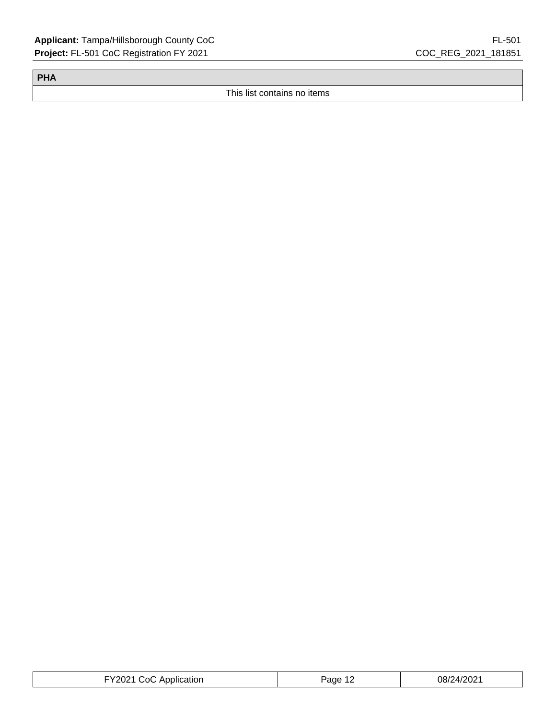**PHA**

This list contains no items

| FY2021 CoC Application | Page 12 | 08/24/2021 |
|------------------------|---------|------------|
|------------------------|---------|------------|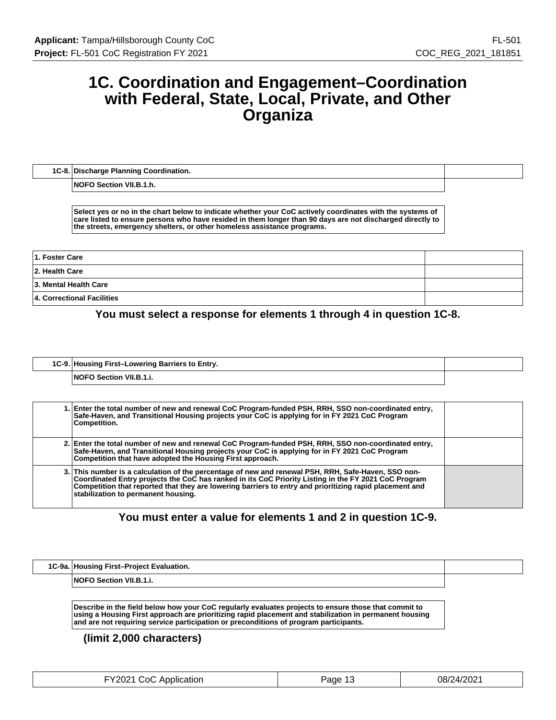## **1C. Coordination and Engagement–Coordination with Federal, State, Local, Private, and Other Organiza**

**1C-8. Discharge Planning Coordination.**

**NOFO Section VII.B.1.h.**

**Select yes or no in the chart below to indicate whether your CoC actively coordinates with the systems of care listed to ensure persons who have resided in them longer than 90 days are not discharged directly to the streets, emergency shelters, or other homeless assistance programs.**

| 1. Foster Care             |  |
|----------------------------|--|
| 2. Health Care             |  |
| 3. Mental Health Care      |  |
| 4. Correctional Facilities |  |

**You must select a response for elements 1 through 4 in question 1C-8.**

| 1C-9. Housing First-Lowering Barriers to Entry. |  |
|-------------------------------------------------|--|
| <b>NOFO Section VII.B.1.i.</b>                  |  |

| 1. Enter the total number of new and renewal CoC Program-funded PSH, RRH, SSO non-coordinated entry,<br>Safe-Haven, and Transitional Housing projects your CoC is applying for in FY 2021 CoC Program<br>Competition.                                                                                                                                         |  |
|---------------------------------------------------------------------------------------------------------------------------------------------------------------------------------------------------------------------------------------------------------------------------------------------------------------------------------------------------------------|--|
| 2. Enter the total number of new and renewal CoC Program-funded PSH, RRH, SSO non-coordinated entry,<br>Safe-Haven, and Transitional Housing projects your CoC is applying for in FY 2021 CoC Program<br>Competition that have adopted the Housing First approach.                                                                                            |  |
| 3. This number is a calculation of the percentage of new and renewal PSH, RRH, Safe-Haven, SSO non-<br>Coordinated Entry projects the CoC has ranked in its CoC Priority Listing in the FY 2021 CoC Program<br>Competition that reported that they are lowering barriers to entry and prioritizing rapid placement and<br>stabilization to permanent housing. |  |

**You must enter a value for elements 1 and 2 in question 1C-9.**

| 1C-9a. Housing First-Project Evaluation. |  |
|------------------------------------------|--|
| Section VII.B.1.i.<br>⊣NOF⊆              |  |

**Describe in the field below how your CoC regularly evaluates projects to ensure those that commit to using a Housing First approach are prioritizing rapid placement and stabilization in permanent housing and are not requiring service participation or preconditions of program participants.**

| FY2021 CoC Application | Page $1^\circ$ | 08/24/2021 |
|------------------------|----------------|------------|
|------------------------|----------------|------------|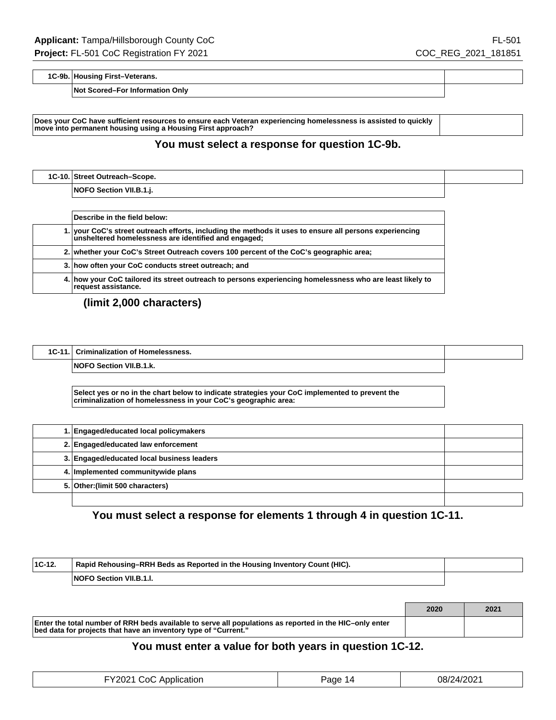**1C-9b. Housing First–Veterans.**

**Not Scored–For Information Only**

**Does your CoC have sufficient resources to ensure each Veteran experiencing homelessness is assisted to quickly move into permanent housing using a Housing First approach?**

#### **You must select a response for question 1C-9b.**

| 1C-10. Street Outreach-Scope.  |  |
|--------------------------------|--|
| <b>NOFO Section VII.B.1.j.</b> |  |

| Describe in the field below:                                                                                                                                    |
|-----------------------------------------------------------------------------------------------------------------------------------------------------------------|
| 1. your CoC's street outreach efforts, including the methods it uses to ensure all persons experiencing<br>unsheltered homelessness are identified and engaged; |
| 2. whether your CoC's Street Outreach covers 100 percent of the CoC's geographic area;                                                                          |
| 3. how often your CoC conducts street outreach; and                                                                                                             |
| 4. how your CoC tailored its street outreach to persons experiencing homelessness who are least likely to<br>request assistance.                                |

## **(limit 2,000 characters)**

 $\sqrt{2}$ 

| <b>Criminalization of Homelessness.</b> |  |
|-----------------------------------------|--|
| NOFO Section VII.B.1.k.                 |  |

**Select yes or no in the chart below to indicate strategies your CoC implemented to prevent the criminalization of homelessness in your CoC's geographic area:**

| 1. Engaged/educated local policymakers     |  |
|--------------------------------------------|--|
| 2. Engaged/educated law enforcement        |  |
| 3. Engaged/educated local business leaders |  |
| 4. Implemented communitywide plans         |  |
| 5. Other: (limit 500 characters)           |  |
|                                            |  |

## **You must select a response for elements 1 through 4 in question 1C-11.**

| $1C-12.$ | Rapid Rehousing–RRH Beds as Reported in the Housing Inventory Count (HIC). |  |
|----------|----------------------------------------------------------------------------|--|
|          | <b>NOFO Section VII.B.1.I.</b>                                             |  |

|                                                                                                                                                                            | 2020 | 2021 |
|----------------------------------------------------------------------------------------------------------------------------------------------------------------------------|------|------|
| Enter the total number of RRH beds available to serve all populations as reported in the HIC-only enter<br>bed data for projects that have an inventory type of "Current." |      |      |

### **You must enter a value for both years in question 1C-12.**

| FY2021 CoC Application | Page 14 | 08/24/2021 |
|------------------------|---------|------------|
|------------------------|---------|------------|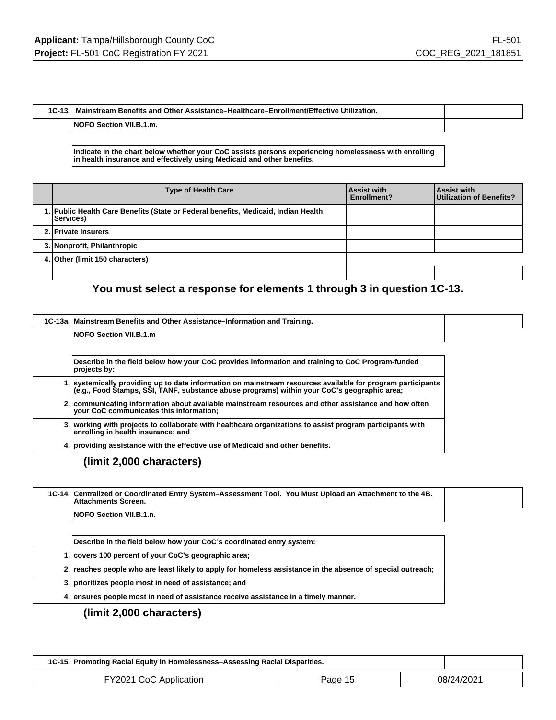#### **1C-13. Mainstream Benefits and Other Assistance–Healthcare–Enrollment/Effective Utilization.**

**NOFO Section VII.B.1.m.**

#### **Indicate in the chart below whether your CoC assists persons experiencing homelessness with enrolling in health insurance and effectively using Medicaid and other benefits.**

| <b>Type of Health Care</b>                                                                      | Assist with<br>Enrollment? | <b>Assist with</b><br>Utilization of Benefits? |
|-------------------------------------------------------------------------------------------------|----------------------------|------------------------------------------------|
| 1. Public Health Care Benefits (State or Federal benefits, Medicaid, Indian Health<br>Services) |                            |                                                |
| 2. Private Insurers                                                                             |                            |                                                |
| 3. Nonprofit, Philanthropic                                                                     |                            |                                                |
| 4. Other (limit 150 characters)                                                                 |                            |                                                |
|                                                                                                 |                            |                                                |

## **You must select a response for elements 1 through 3 in question 1C-13.**

| 1C-13a. Mainstream Benefits and Other Assistance–Information and Training. |  |
|----------------------------------------------------------------------------|--|
| <b>NOFO Section VII.B.1.m</b>                                              |  |
|                                                                            |  |

| Describe in the field below how your CoC provides information and training to CoC Program-funded<br>projects by:                                                                                        |
|---------------------------------------------------------------------------------------------------------------------------------------------------------------------------------------------------------|
| 1. systemically providing up to date information on mainstream resources available for program participants (e.g., Food Stamps, SSI, TANF, substance abuse programs) within your CoC's geographic area; |
| 2. communicating information about available mainstream resources and other assistance and how often<br>your CoC communicates this information;                                                         |
| 3. working with projects to collaborate with healthcare organizations to assist program participants with<br>enrolling in health insurance; and                                                         |
| 4. providing assistance with the effective use of Medicaid and other benefits.                                                                                                                          |

**(limit 2,000 characters)**

| 1C-14. Centralized or Coordinated Entry System-Assessment Tool. You Must Upload an Attachment to the 4B.<br><b>Attachments Screen.</b> |  |
|----------------------------------------------------------------------------------------------------------------------------------------|--|
| <b>NOFO Section VII.B.1.n.</b>                                                                                                         |  |

| Describe in the field below how your CoC's coordinated entry system:                                        |
|-------------------------------------------------------------------------------------------------------------|
| 1. covers 100 percent of your CoC's geographic area;                                                        |
| 2. reaches people who are least likely to apply for homeless assistance in the absence of special outreach; |
| 3. prioritizes people most in need of assistance; and                                                       |
| 4. ensures people most in need of assistance receive assistance in a timely manner.                         |

| 1C-15. Promoting Racial Equity in Homelessness-Assessing Racial Disparities. |         |            |
|------------------------------------------------------------------------------|---------|------------|
| FY2021 CoC Application                                                       | Page 15 | 08/24/2021 |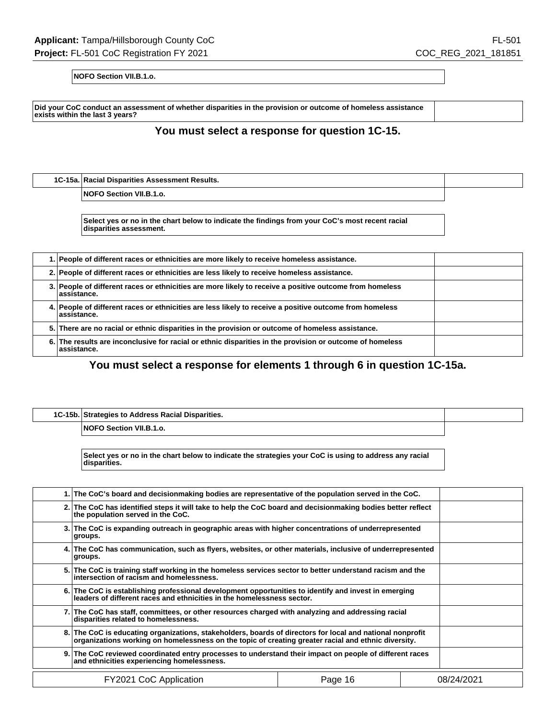**NOFO Section VII.B.1.o.**

**Did your CoC conduct an assessment of whether disparities in the provision or outcome of homeless assistance exists within the last 3 years?**

### **You must select a response for question 1C-15.**

**1C-15a. Racial Disparities Assessment Results.**

**NOFO Section VII.B.1.o.**

**Select yes or no in the chart below to indicate the findings from your CoC's most recent racial disparities assessment.**

| 1. People of different races or ethnicities are more likely to receive homeless assistance.                             |  |
|-------------------------------------------------------------------------------------------------------------------------|--|
| 2. People of different races or ethnicities are less likely to receive homeless assistance.                             |  |
| 3. People of different races or ethnicities are more likely to receive a positive outcome from homeless<br>assistance.  |  |
| 4. People of different races or ethnicities are less likely to receive a positive outcome from homeless<br>assistance.  |  |
| 5. There are no racial or ethnic disparities in the provision or outcome of homeless assistance.                        |  |
| 6. The results are inconclusive for racial or ethnic disparities in the provision or outcome of homeless<br>assistance. |  |

**You must select a response for elements 1 through 6 in question 1C-15a.**

| 1C-15b. Strategies to Address Racial Disparities. |  |
|---------------------------------------------------|--|
| <b>NOFO Section VII.B.1.o.</b>                    |  |

**Select yes or no in the chart below to indicate the strategies your CoC is using to address any racial disparities.**

|                                                                                                                                                                                | 1. The CoC's board and decisionmaking bodies are representative of the population served in the CoC.                                                                                                             |  |            |  |
|--------------------------------------------------------------------------------------------------------------------------------------------------------------------------------|------------------------------------------------------------------------------------------------------------------------------------------------------------------------------------------------------------------|--|------------|--|
|                                                                                                                                                                                | 2. The CoC has identified steps it will take to help the CoC board and decisionmaking bodies better reflect<br>the population served in the CoC.                                                                 |  |            |  |
|                                                                                                                                                                                | 3. The CoC is expanding outreach in geographic areas with higher concentrations of underrepresented<br>groups.                                                                                                   |  |            |  |
|                                                                                                                                                                                | 4. The CoC has communication, such as flyers, websites, or other materials, inclusive of underrepresented<br>groups.                                                                                             |  |            |  |
|                                                                                                                                                                                | 5. The CoC is training staff working in the homeless services sector to better understand racism and the<br>intersection of racism and homelessness.                                                             |  |            |  |
| 6. The CoC is establishing professional development opportunities to identify and invest in emerging<br>leaders of different races and ethnicities in the homelessness sector. |                                                                                                                                                                                                                  |  |            |  |
| 7. The CoC has staff, committees, or other resources charged with analyzing and addressing racial<br>disparities related to homelessness.                                      |                                                                                                                                                                                                                  |  |            |  |
|                                                                                                                                                                                | 8. The CoC is educating organizations, stakeholders, boards of directors for local and national nonprofit<br>organizations working on homelessness on the topic of creating greater racial and ethnic diversity. |  |            |  |
| 9. The CoC reviewed coordinated entry processes to understand their impact on people of different races<br>and ethnicities experiencing homelessness.                          |                                                                                                                                                                                                                  |  |            |  |
| FY2021 CoC Application<br>Page 16                                                                                                                                              |                                                                                                                                                                                                                  |  | 08/24/2021 |  |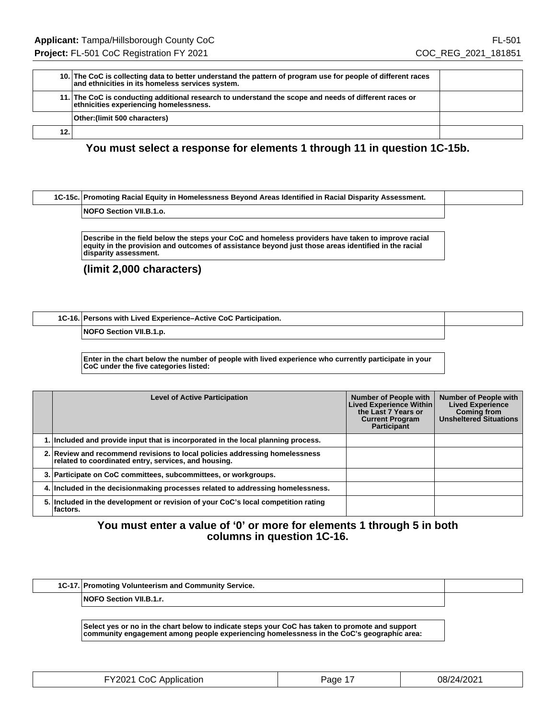|     | 10. The CoC is collecting data to better understand the pattern of program use for people of different races<br>and ethnicities in its homeless services system. |  |
|-----|------------------------------------------------------------------------------------------------------------------------------------------------------------------|--|
|     | 11. The CoC is conducting additional research to understand the scope and needs of different races or<br>ethnicities experiencing homelessness.                  |  |
|     | Other:(limit 500 characters)                                                                                                                                     |  |
| 12. |                                                                                                                                                                  |  |

### **You must select a response for elements 1 through 11 in question 1C-15b.**

#### **1C-15c. Promoting Racial Equity in Homelessness Beyond Areas Identified in Racial Disparity Assessment.**

#### **NOFO Section VII.B.1.o.**

**Describe in the field below the steps your CoC and homeless providers have taken to improve racial equity in the provision and outcomes of assistance beyond just those areas identified in the racial disparity assessment.**

#### **(limit 2,000 characters)**

#### **1C-16. Persons with Lived Experience–Active CoC Participation.**

**NOFO Section VII.B.1.p.**

**Enter in the chart below the number of people with lived experience who currently participate in your CoC under the five categories listed:**

| <b>Level of Active Participation</b>                                                                                                | <b>Number of People with</b><br><b>Lived Experience Within</b><br>the Last 7 Years or<br><b>Current Program</b><br><b>Participant</b> | <b>Number of People with</b><br><b>Lived Experience</b><br><b>Coming from</b><br><b>Unsheltered Situations</b> |
|-------------------------------------------------------------------------------------------------------------------------------------|---------------------------------------------------------------------------------------------------------------------------------------|----------------------------------------------------------------------------------------------------------------|
| 1. Included and provide input that is incorporated in the local planning process.                                                   |                                                                                                                                       |                                                                                                                |
| 2. Review and recommend revisions to local policies addressing homelessness<br>related to coordinated entry, services, and housing. |                                                                                                                                       |                                                                                                                |
| 3. Participate on CoC committees, subcommittees, or workgroups.                                                                     |                                                                                                                                       |                                                                                                                |
| 4. Included in the decisionmaking processes related to addressing homelessness.                                                     |                                                                                                                                       |                                                                                                                |
| 5. Included in the development or revision of your CoC's local competition rating<br>lfactors.                                      |                                                                                                                                       |                                                                                                                |

### **You must enter a value of '0' or more for elements 1 through 5 in both columns in question 1C-16.**

| 1C-17. Promoting Volunteerism and Community Service. |  |
|------------------------------------------------------|--|
| <b>NOFO Section VII.B.1.r.</b>                       |  |

**Select yes or no in the chart below to indicate steps your CoC has taken to promote and support community engagement among people experiencing homelessness in the CoC's geographic area:**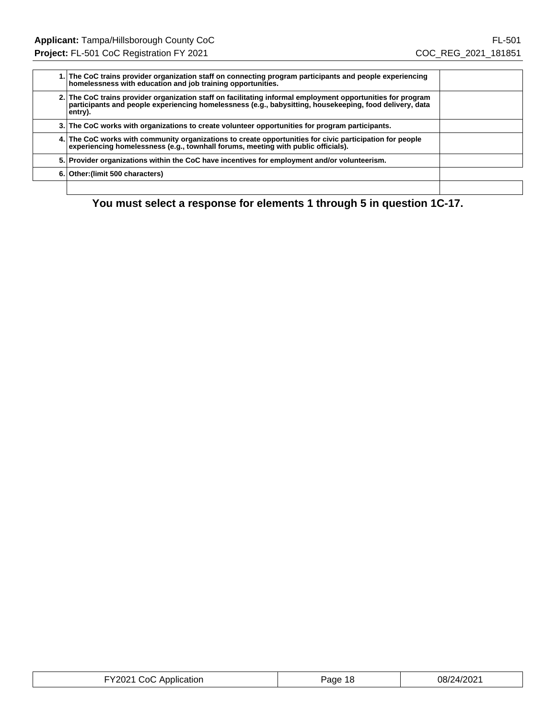| 1. The CoC trains provider organization staff on connecting program participants and people experiencing<br>homelessness with education and job training opportunities.                                                           |  |
|-----------------------------------------------------------------------------------------------------------------------------------------------------------------------------------------------------------------------------------|--|
| 2. The CoC trains provider organization staff on facilitating informal employment opportunities for program<br>participants and people experiencing homelessness (e.g., babysitting, housekeeping, food delivery, data<br>entry). |  |
| 3. The CoC works with organizations to create volunteer opportunities for program participants.                                                                                                                                   |  |
| 4. The CoC works with community organizations to create opportunities for civic participation for people<br>experiencing homelessness (e.g., townhall forums, meeting with public officials).                                     |  |
| 5. Provider organizations within the CoC have incentives for employment and/or volunteerism.                                                                                                                                      |  |
| 6. Other: (limit 500 characters)                                                                                                                                                                                                  |  |
|                                                                                                                                                                                                                                   |  |

**You must select a response for elements 1 through 5 in question 1C-17.**

| <b>EY2021 CoC Application</b> | Page 18 | 08/24/2021 |
|-------------------------------|---------|------------|
|-------------------------------|---------|------------|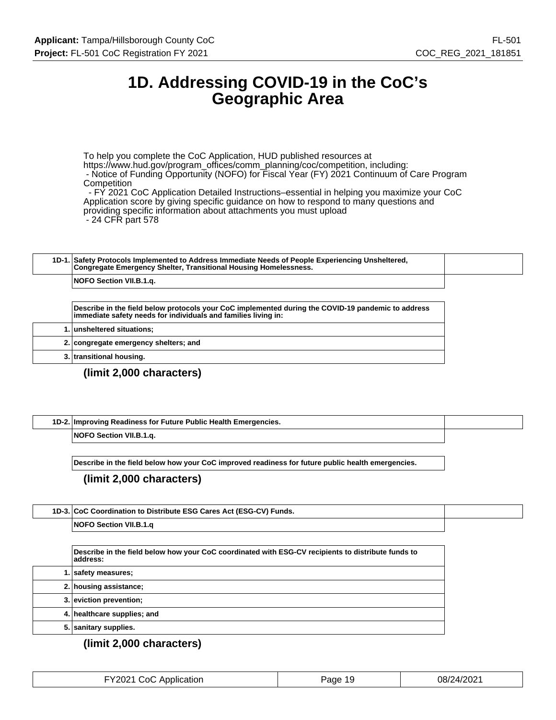## **1D. Addressing COVID-19 in the CoC's Geographic Area**

To help you complete the CoC Application, HUD published resources at https://www.hud.gov/program\_offices/comm\_planning/coc/competition, including: - Notice of Funding Opportunity (NOFO) for Fiscal Year (FY) 2021 Continuum of Care Program **Competition** 

 - FY 2021 CoC Application Detailed Instructions–essential in helping you maximize your CoC Application score by giving specific guidance on how to respond to many questions and providing specific information about attachments you must upload - 24 CFR part 578

| 1D-1. Safety Protocols Implemented to Address Immediate Needs of People Experiencing Unsheltered,<br>Congregate Emergency Shelter, Transitional Housing Homelessness. |  |
|-----------------------------------------------------------------------------------------------------------------------------------------------------------------------|--|
| <b>NOFO Section VII.B.1.a.</b>                                                                                                                                        |  |

**Describe in the field below protocols your CoC implemented during the COVID-19 pandemic to address immediate safety needs for individuals and families living in:**

|  | 1. unsheltered situations;            |
|--|---------------------------------------|
|  | 2. congregate emergency shelters; and |
|  | 3. transitional housing.              |

### **(limit 2,000 characters)**

| 1D-2. Improving Readiness for Future Public Health Emergencies. |  |
|-----------------------------------------------------------------|--|
| <b>NOFO Section VII.B.1.a.</b>                                  |  |

**Describe in the field below how your CoC improved readiness for future public health emergencies.**

#### **(limit 2,000 characters)**

| 1D-3. CoC Coordination to Distribute ESG Cares Act (ESG-CV) Funds. |  |
|--------------------------------------------------------------------|--|
| <b>NOFO Section VII.B.1.a</b>                                      |  |

| Describe in the field below how your CoC coordinated with ESG-CV recipients to distribute funds to<br>address: |  |
|----------------------------------------------------------------------------------------------------------------|--|
| 1. safety measures;                                                                                            |  |
| 2. housing assistance;                                                                                         |  |
| 3. eviction prevention;                                                                                        |  |
| 4. healthcare supplies; and                                                                                    |  |
| 5. sanitary supplies.                                                                                          |  |

| FY2021 CoC Application | Page 19 | 08/24/2021 |
|------------------------|---------|------------|
|------------------------|---------|------------|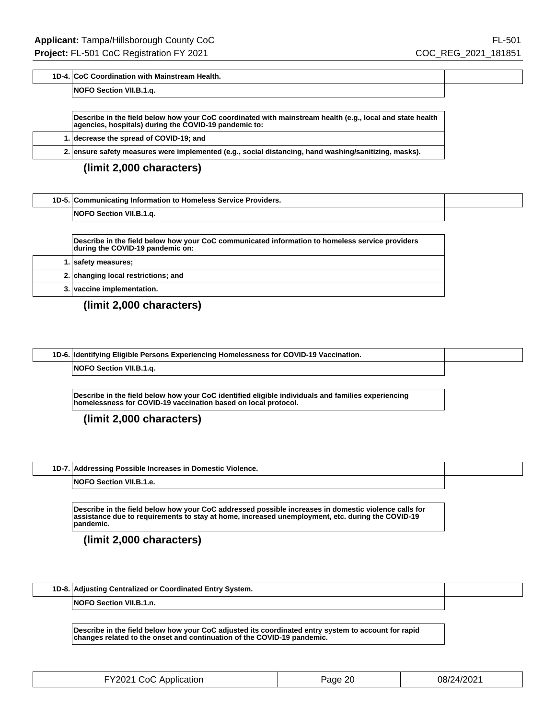#### **1D-4. CoC Coordination with Mainstream Health.**

#### **NOFO Section VII.B.1.q.**

| Describe in the field below how your CoC coordinated with mainstream health (e.g., local and state health<br>agencies, hospitals) during the COVID-19 pandemic to: |                                         |
|--------------------------------------------------------------------------------------------------------------------------------------------------------------------|-----------------------------------------|
|                                                                                                                                                                    | 1. decrease the spread of COVID-19; and |
| 2. ensure safety measures were implemented (e.g., social distancing, hand washing/sanitizing, masks).                                                              |                                         |

#### **(limit 2,000 characters)**

| 1D-5. Communicating Information to Homeless Service Providers.                                                                      |
|-------------------------------------------------------------------------------------------------------------------------------------|
| NOFO Section VII.B.1.g.                                                                                                             |
|                                                                                                                                     |
| Describe in the field below how your CoC communicated information to homeless service providers<br>during the COVID-19 pandemic on: |
| 1.   safety measures;                                                                                                               |
| 2. changing local restrictions; and                                                                                                 |
| 3. vaccine implementation.                                                                                                          |

### **(limit 2,000 characters)**

Г

| 1D-6. Identifying Eligible Persons Experiencing Homelessness for COVID-19 Vaccination. |  |
|----------------------------------------------------------------------------------------|--|
| <b>NOFO Section VII.B.1.a.</b>                                                         |  |

**Describe in the field below how your CoC identified eligible individuals and families experiencing homelessness for COVID-19 vaccination based on local protocol.**

**(limit 2,000 characters)**

| 1D-7. Addressing Possible Increases in Domestic Violence. |  |
|-----------------------------------------------------------|--|
| <b>NOFO Section VII.B.1.e.</b>                            |  |

**Describe in the field below how your CoC addressed possible increases in domestic violence calls for assistance due to requirements to stay at home, increased unemployment, etc. during the COVID-19 pandemic.**

**(limit 2,000 characters)**

| 1D-8. Adjusting Centralized or Coordinated Entry System. |  |
|----------------------------------------------------------|--|
| <b>NOFO Section VII.B.1.n.</b>                           |  |

**Describe in the field below how your CoC adjusted its coordinated entry system to account for rapid changes related to the onset and continuation of the COVID-19 pandemic.**

| FY2021 CoC Application | Page 20 | 08/24/2021 |
|------------------------|---------|------------|
|------------------------|---------|------------|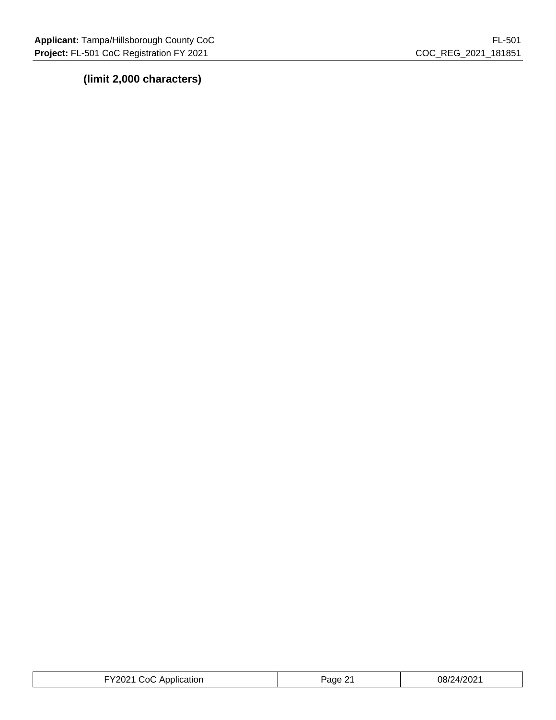|                        | ົົ     | 08/24/2021 |
|------------------------|--------|------------|
| FY2021 CoC Application | Page 2 |            |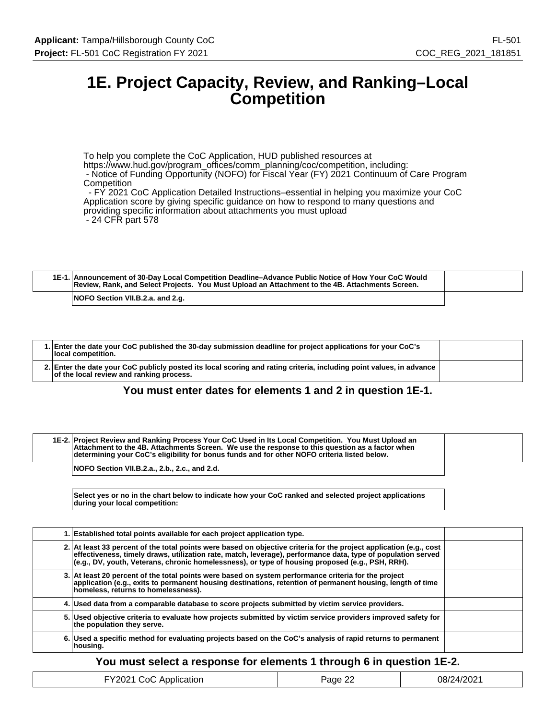## **1E. Project Capacity, Review, and Ranking–Local Competition**

To help you complete the CoC Application, HUD published resources at https://www.hud.gov/program\_offices/comm\_planning/coc/competition, including: - Notice of Funding Opportunity (NOFO) for Fiscal Year (FY) 2021 Continuum of Care Program **Competition** - FY 2021 CoC Application Detailed Instructions–essential in helping you maximize your CoC

Application score by giving specific guidance on how to respond to many questions and providing specific information about attachments you must upload - 24 CFR part 578

| 1E-1. Announcement of 30-Day Local Competition Deadline–Advance Public Notice of How Your CoC Would<br>Review, Rank, and Select Projects. You Must Upload an Attachment to the 4B. Attachments Screen. |  |
|--------------------------------------------------------------------------------------------------------------------------------------------------------------------------------------------------------|--|
| NOFO Section VII.B.2.a. and 2.g.                                                                                                                                                                       |  |

| 1. Enter the date your CoC published the 30-day submission deadline for project applications for your CoC's<br>local competition.                                |  |
|------------------------------------------------------------------------------------------------------------------------------------------------------------------|--|
| 2. Enter the date your CoC publicly posted its local scoring and rating criteria, including point values, in advance<br>of the local review and ranking process. |  |

#### **You must enter dates for elements 1 and 2 in question 1E-1.**

| 1E-2. Project Review and Ranking Process Your CoC Used in Its Local Competition. You Must Upload an<br>Attachment to the 4B. Attachments Screen. We use the response to this question as a factor when<br>determining your CoC's eligibility for bonus funds and for other NOFO criteria listed below. |  |
|--------------------------------------------------------------------------------------------------------------------------------------------------------------------------------------------------------------------------------------------------------------------------------------------------------|--|
| NOFO Section VII.B.2.a., 2.b., 2.c., and 2.d.                                                                                                                                                                                                                                                          |  |

**Select yes or no in the chart below to indicate how your CoC ranked and selected project applications during your local competition:**

| 1. Established total points available for each project application type.                                                                                                                                                                                                                                                                |  |
|-----------------------------------------------------------------------------------------------------------------------------------------------------------------------------------------------------------------------------------------------------------------------------------------------------------------------------------------|--|
| 2. At least 33 percent of the total points were based on objective criteria for the project application (e.g., cost<br>effectiveness, timely draws, utilization rate, match, leverage), performance data, type of population served<br>(e.g., DV, youth, Veterans, chronic homelessness), or type of housing proposed (e.g., PSH, RRH). |  |
| 3. At least 20 percent of the total points were based on system performance criteria for the project<br>application (e.g., exits to permanent housing destinations, retention of permanent housing, length of time<br>homeless, returns to homelessness).                                                                               |  |
| 4. Used data from a comparable database to score projects submitted by victim service providers.                                                                                                                                                                                                                                        |  |
| 5. Used objective criteria to evaluate how projects submitted by victim service providers improved safety for<br>the population they serve.                                                                                                                                                                                             |  |
| 6. Used a specific method for evaluating projects based on the CoC's analysis of rapid returns to permanent<br>housing.                                                                                                                                                                                                                 |  |

#### **You must select a response for elements 1 through 6 in question 1E-2.**

|                        | $\sim$           | 08/24/2021 |
|------------------------|------------------|------------|
| FY2021 CoC Application | Page $2\epsilon$ |            |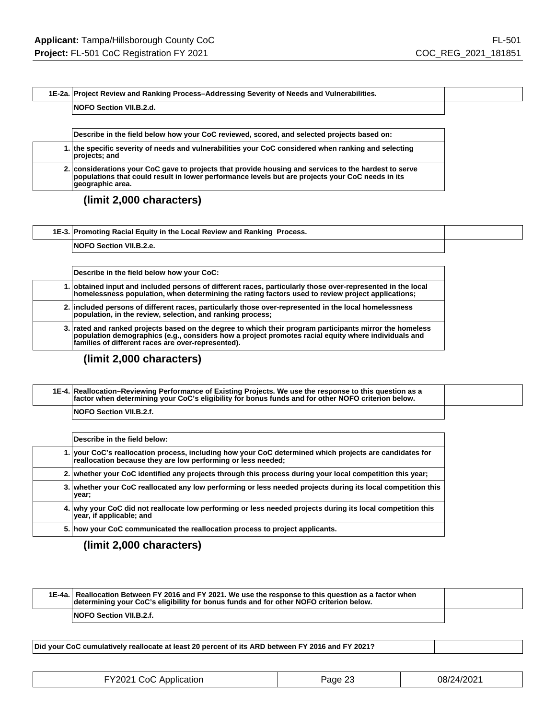#### **1E-2a. Project Review and Ranking Process–Addressing Severity of Needs and Vulnerabilities.**

#### **NOFO Section VII.B.2.d.**

**Describe in the field below how your CoC reviewed, scored, and selected projects based on:**

**1. the specific severity of needs and vulnerabilities your CoC considered when ranking and selecting projects; and**

**2. considerations your CoC gave to projects that provide housing and services to the hardest to serve populations that could result in lower performance levels but are projects your CoC needs in its geographic area.**

#### **(limit 2,000 characters)**

| 1E-3. Promoting Racial Equity in the Local Review and Ranking Process. |  |
|------------------------------------------------------------------------|--|
| <b>NOFO Section VII.B.2.e.</b>                                         |  |

| Describe in the field below how your CoC:                                                                                                                                                                                                                             |
|-----------------------------------------------------------------------------------------------------------------------------------------------------------------------------------------------------------------------------------------------------------------------|
| 1. obtained input and included persons of different races, particularly those over-represented in the local<br>homelessness population, when determining the rating factors used to review project applications;                                                      |
| 2. included persons of different races, particularly those over-represented in the local homelessness<br>population, in the review, selection, and ranking process;                                                                                                   |
| 3. rated and ranked projects based on the degree to which their program participants mirror the homeless<br>population demographics (e.g., considers how a project promotes racial equity where individuals and<br>families of different races are over-represented). |

#### **(limit 2,000 characters)**

| 1E-4. Reallocation–Reviewing Performance of Existing Projects. We use the response to this question as a<br> factor when determining your CoC's eligibility for bonus funds and for other NOFO criterion below. |  |
|-----------------------------------------------------------------------------------------------------------------------------------------------------------------------------------------------------------------|--|
| <b>NOFO Section VII.B.2.f.</b>                                                                                                                                                                                  |  |

| Describe in the field below:                                                                                                                                            |
|-------------------------------------------------------------------------------------------------------------------------------------------------------------------------|
| 1. your CoC's reallocation process, including how your CoC determined which projects are candidates for<br>reallocation because they are low performing or less needed; |
| 2. whether your CoC identified any projects through this process during your local competition this year;                                                               |
| 3. whether your CoC reallocated any low performing or less needed projects during its local competition this<br>year;                                                   |
| 4. why your CoC did not reallocate low performing or less needed projects during its local competition this<br>year, if applicable; and                                 |
| 5. how your CoC communicated the reallocation process to project applicants.                                                                                            |

#### **(limit 2,000 characters)**

| 1E-4a. Reallocation Between FY 2016 and FY 2021. We use the response to this question as a factor when<br>determining your CoC's eligibility for bonus funds and for other NOFO criterion below. |  |
|--------------------------------------------------------------------------------------------------------------------------------------------------------------------------------------------------|--|
| <b>NOFO Section VII.B.2.f.</b>                                                                                                                                                                   |  |

**Did your CoC cumulatively reallocate at least 20 percent of its ARD between FY 2016 and FY 2021?**

| FY2021 CoC Application | Page 23 | 08/24/2021 |
|------------------------|---------|------------|
|                        |         |            |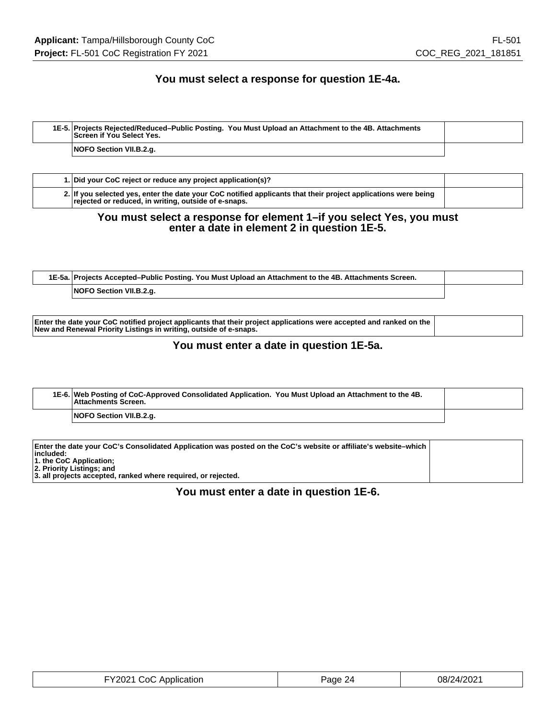### **You must select a response for question 1E-4a.**

| 1E-5. Projects Rejected/Reduced–Public Posting. You Must Upload an Attachment to the 4B. Attachments<br>Screen if You Select Yes. |  |
|-----------------------------------------------------------------------------------------------------------------------------------|--|
| NOFO Section VII.B.2.g.                                                                                                           |  |

| 1. Did your CoC reject or reduce any project application(s)?                                                                                                           |  |
|------------------------------------------------------------------------------------------------------------------------------------------------------------------------|--|
| 2. If you selected yes, enter the date your CoC notified applicants that their project applications were being<br>rejected or reduced, in writing, outside of e-snaps. |  |

#### **You must select a response for element 1–if you select Yes, you must enter a date in element 2 in question 1E-5.**

| 1E-5a. Projects Accepted–Public Posting. You Must Upload an Attachment to the 4B. Attachments Screen. |  |
|-------------------------------------------------------------------------------------------------------|--|
| NOFO Section VII.B.2.g.                                                                               |  |

**Enter the date your CoC notified project applicants that their project applications were accepted and ranked on the New and Renewal Priority Listings in writing, outside of e-snaps.**

#### **You must enter a date in question 1E-5a.**

| 1E-6. Web Posting of CoC-Approved Consolidated Application. You Must Upload an Attachment to the 4B.<br><b>Attachments Screen.</b> |  |
|------------------------------------------------------------------------------------------------------------------------------------|--|
| NOFO Section VII.B.2.g.                                                                                                            |  |

| Enter the date your CoC's Consolidated Application was posted on the CoC's website or affiliate's website–which |  |
|-----------------------------------------------------------------------------------------------------------------|--|
| $ $ included:                                                                                                   |  |
| 1. the CoC Application;                                                                                         |  |
| 2. Priority Listings; and                                                                                       |  |
| 3. all projects accepted, ranked where required, or rejected.                                                   |  |
|                                                                                                                 |  |

### **You must enter a date in question 1E-6.**

| FY2021 CoC Application | Page 24 | 08/24/2021 |
|------------------------|---------|------------|
|------------------------|---------|------------|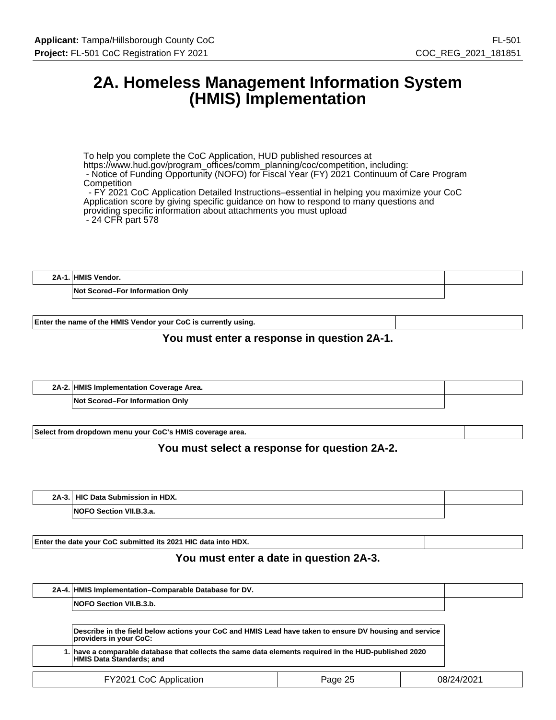## **2A. Homeless Management Information System (HMIS) Implementation**

To help you complete the CoC Application, HUD published resources at https://www.hud.gov/program\_offices/comm\_planning/coc/competition, including: - Notice of Funding Opportunity (NOFO) for Fiscal Year (FY) 2021 Continuum of Care Program **Competition**  - FY 2021 CoC Application Detailed Instructions–essential in helping you maximize your CoC Application score by giving specific guidance on how to respond to many questions and providing specific information about attachments you must upload - 24 CFR part 578

**2A-1. HMIS Vendor.**

**Not Scored–For Information Only**

**Enter the name of the HMIS Vendor your CoC is currently using.**

### **You must enter a response in question 2A-1.**

| 2A-2. HMIS Implementation Coverage Area. |  |
|------------------------------------------|--|
| Not Scored–For Information Only          |  |

**Select from dropdown menu your CoC's HMIS coverage area.**

#### **You must select a response for question 2A-2.**

| $2A-3.$ | HIC Data Submission in HDX.    |  |
|---------|--------------------------------|--|
|         | <b>NOFO Section VII.B.3.a.</b> |  |

**Enter the date your CoC submitted its 2021 HIC data into HDX.**

#### **You must enter a date in question 2A-3.**

|                                   | 2A-4. HMIS Implementation–Comparable Database for DV.                                                                            |  |  |            |
|-----------------------------------|----------------------------------------------------------------------------------------------------------------------------------|--|--|------------|
|                                   | NOFO Section VII.B.3.b.                                                                                                          |  |  |            |
|                                   |                                                                                                                                  |  |  |            |
|                                   | Describe in the field below actions your CoC and HMIS Lead have taken to ensure DV housing and service<br>providers in your CoC: |  |  |            |
|                                   | have a comparable database that collects the same data elements required in the HUD-published 2020.<br>HMIS Data Štandards; and  |  |  |            |
| FY2021 CoC Application<br>Page 25 |                                                                                                                                  |  |  | 08/24/2021 |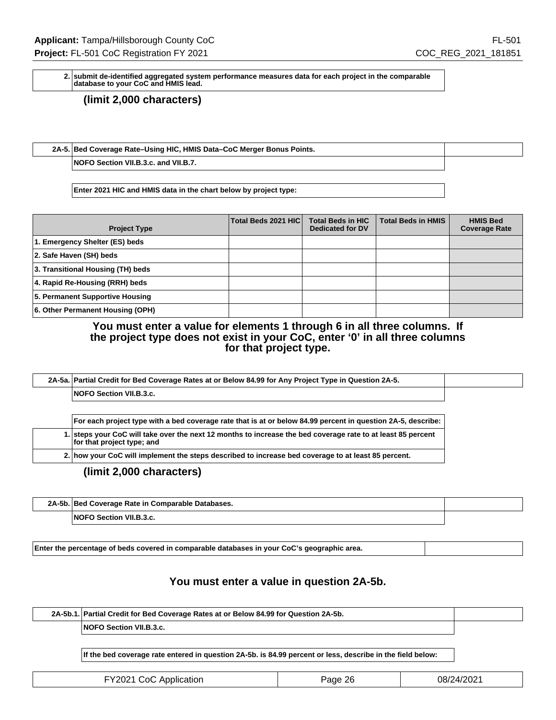**2. submit de-identified aggregated system performance measures data for each project in the comparable database to your CoC and HMIS lead.**

**(limit 2,000 characters)**

**2A-5. Bed Coverage Rate–Using HIC, HMIS Data–CoC Merger Bonus Points.**

**NOFO Section VII.B.3.c. and VII.B.7.**

**Enter 2021 HIC and HMIS data in the chart below by project type:**

| <b>Project Type</b>               | Total Beds 2021 HIC | <b>Total Beds in HIC</b><br><b>Dedicated for DV</b> | <b>Total Beds in HMIS</b> | <b>HMIS Bed</b><br><b>Coverage Rate</b> |
|-----------------------------------|---------------------|-----------------------------------------------------|---------------------------|-----------------------------------------|
| 1. Emergency Shelter (ES) beds    |                     |                                                     |                           |                                         |
| 2. Safe Haven (SH) beds           |                     |                                                     |                           |                                         |
| 3. Transitional Housing (TH) beds |                     |                                                     |                           |                                         |
| 4. Rapid Re-Housing (RRH) beds    |                     |                                                     |                           |                                         |
| 5. Permanent Supportive Housing   |                     |                                                     |                           |                                         |
| 6. Other Permanent Housing (OPH)  |                     |                                                     |                           |                                         |

**You must enter a value for elements 1 through 6 in all three columns. If the project type does not exist in your CoC, enter '0' in all three columns for that project type.**

| 2A-5a. Partial Credit for Bed Coverage Rates at or Below 84.99 for Any Project Type in Question 2A-5.        |
|--------------------------------------------------------------------------------------------------------------|
| NOFO Section VII.B.3.c.                                                                                      |
|                                                                                                              |
|                                                                                                              |
| For each project type with a bed coverage rate that is at or below 84.99 percent in question 2A-5, describe: |

**2. how your CoC will implement the steps described to increase bed coverage to at least 85 percent.**

**(limit 2,000 characters)**

 $\mathbf{r}$ 

| 2A-5b. Bed Coverage Rate in Comparable Databases. |  |
|---------------------------------------------------|--|
| Section VII.B.3.c.<br><b>NOF</b>                  |  |

**Enter the percentage of beds covered in comparable databases in your CoC's geographic area.**

## **You must enter a value in question 2A-5b.**

| 2A-5b.1. Partial Credit for Bed Coverage Rates at or Below 84.99 for Question 2A-5b. |  |
|--------------------------------------------------------------------------------------|--|
| <b>NOFO Section VII.B.3.c.</b>                                                       |  |

**If the bed coverage rate entered in question 2A-5b. is 84.99 percent or less, describe in the field below:**

| FY2021 CoC Application | Page 26 | 08/24/2021 |
|------------------------|---------|------------|
|------------------------|---------|------------|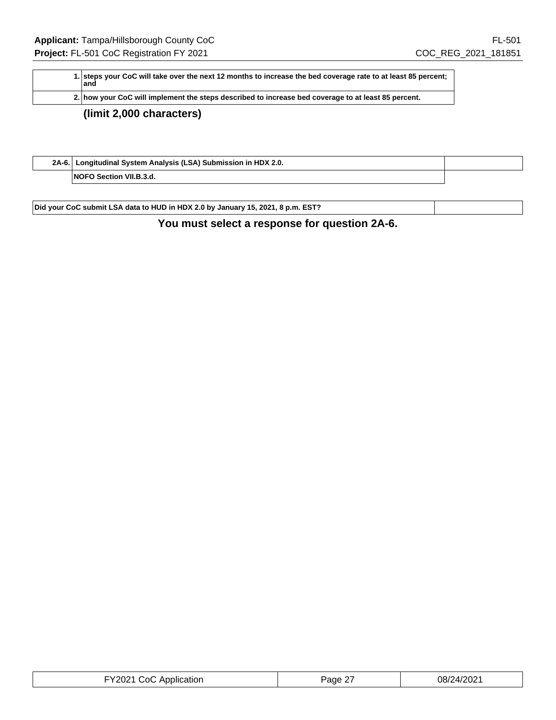| 1. steps your CoC will take over the next 12 months to increase the bed coverage rate to at least 85 percent;<br>land |
|-----------------------------------------------------------------------------------------------------------------------|
| 2. how your CoC will implement the steps described to increase bed coverage to at least 85 percent.                   |
| $\theta$ and $\theta$ and $\theta$ and $\theta$                                                                       |

## **(limit 2,000 characters)**

| 2A-6. Longitudinal System Analysis (LSA) Submission in HDX 2.0. |  |
|-----------------------------------------------------------------|--|
| <b>NOFO Section VII.B.3.d.</b>                                  |  |

**Did your CoC submit LSA data to HUD in HDX 2.0 by January 15, 2021, 8 p.m. EST?**

## **You must select a response for question 2A-6.**

| FY2021 CoC Application | Page 27 | 08/24/2021 |
|------------------------|---------|------------|
|------------------------|---------|------------|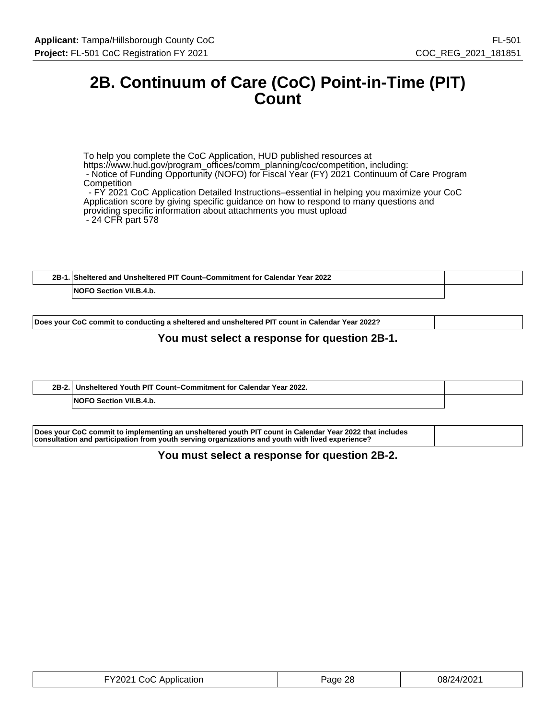## **2B. Continuum of Care (CoC) Point-in-Time (PIT) Count**

To help you complete the CoC Application, HUD published resources at https://www.hud.gov/program\_offices/comm\_planning/coc/competition, including: - Notice of Funding Opportunity (NOFO) for Fiscal Year (FY) 2021 Continuum of Care Program **Competition**  - FY 2021 CoC Application Detailed Instructions–essential in helping you maximize your CoC Application score by giving specific guidance on how to respond to many questions and providing specific information about attachments you must upload - 24 CFR part 578

| 2B | Sheltered and Unsheltered PIT Count–Commitment for Calendar Year 2022 |  |
|----|-----------------------------------------------------------------------|--|
|    | Section VII.B.4.b.<br>.NOFC                                           |  |

**Does your CoC commit to conducting a sheltered and unsheltered PIT count in Calendar Year 2022?**

### **You must select a response for question 2B-1.**

| $2B-2.$ | Unsheltered Youth PIT Count-Commitment for Calendar Year 2022. |  |
|---------|----------------------------------------------------------------|--|
|         | <b>VII R 4 h</b><br><b>NOEO</b><br><b>Cootion</b>              |  |

| Does your CoC commit to implementing an unsheltered youth PIT count in Calendar Year 2022 that includes |  |
|---------------------------------------------------------------------------------------------------------|--|
| consultation and participation from youth serving organizations and youth with lived experience?        |  |

#### **You must select a response for question 2B-2.**

| FY2021 CoC Application | 28<br>Page | 08/24/2021 |
|------------------------|------------|------------|
|------------------------|------------|------------|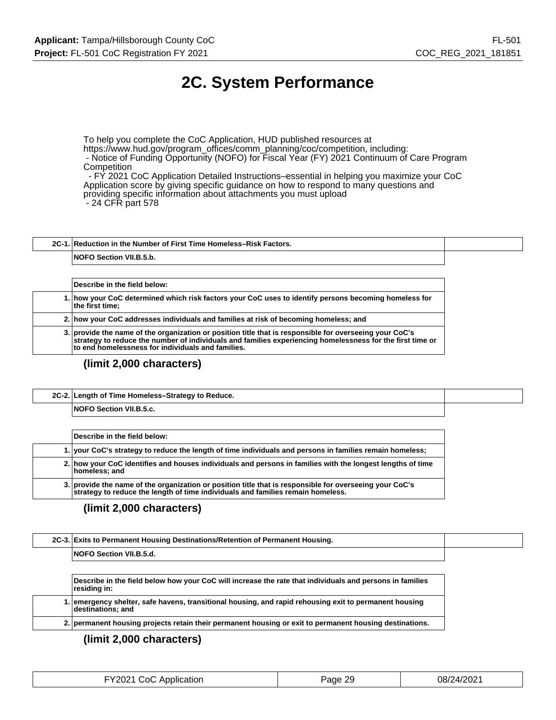# **2C. System Performance**

To help you complete the CoC Application, HUD published resources at https://www.hud.gov/program\_offices/comm\_planning/coc/competition, including: - Notice of Funding Opportunity (NOFO) for Fiscal Year (FY) 2021 Continuum of Care Program **Competition** 

 - FY 2021 CoC Application Detailed Instructions–essential in helping you maximize your CoC Application score by giving specific guidance on how to respond to many questions and providing specific information about attachments you must upload - 24 CFR part 578

**2C-1. Reduction in the Number of First Time Homeless–Risk Factors. NOFO Section VII.B.5.b.**

**Describe in the field below: 1. how your CoC determined which risk factors your CoC uses to identify persons becoming homeless for the first time; 2. how your CoC addresses individuals and families at risk of becoming homeless; and 3. provide the name of the organization or position title that is responsible for overseeing your CoC's strategy to reduce the number of individuals and families experiencing homelessness for the first time or to end homelessness for individuals and families.**

#### **(limit 2,000 characters)**

| 2C-2. Length of Time Homeless-Strategy to Reduce. |  |
|---------------------------------------------------|--|
| <b>NOFO Section VII.B.5.c.</b>                    |  |

| Describe in the field below:                                                                                                                                                               |
|--------------------------------------------------------------------------------------------------------------------------------------------------------------------------------------------|
| 1. your CoC's strategy to reduce the length of time individuals and persons in families remain homeless;                                                                                   |
| 2. how your CoC identifies and houses individuals and persons in families with the longest lengths of time<br>homeless; and                                                                |
| 3. provide the name of the organization or position title that is responsible for overseeing your CoC's<br>strategy to reduce the length of time individuals and families remain homeless. |

#### **(limit 2,000 characters)**

| 2C-3. Exits to Permanent Housing Destinations/Retention of Permanent Housing.                                               |
|-----------------------------------------------------------------------------------------------------------------------------|
| <b>NOFO Section VII.B.5.d.</b>                                                                                              |
|                                                                                                                             |
| Describe in the field below how your CoC will increase the rate that individuals and persons in families<br>residing in:    |
| 1. emergency shelter, safe havens, transitional housing, and rapid rehousing exit to permanent housing<br>destinations; and |
| 2. permanent housing projects retain their permanent housing or exit to permanent housing destinations.                     |

| FY2021 CoC Application | Page 29 | 08/24/2021 |
|------------------------|---------|------------|
|------------------------|---------|------------|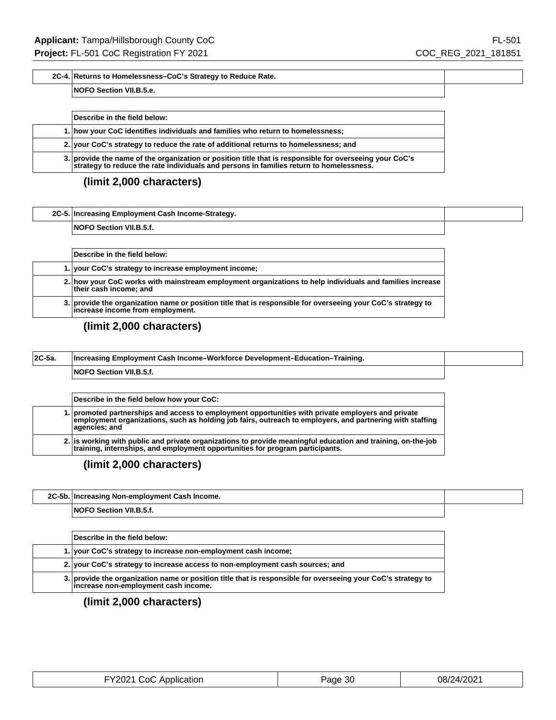### **2C-4. Returns to Homelessness–CoC's Strategy to Reduce Rate.**

#### **NOFO Section VII.B.5.e.**

| Describe in the field below:                                                                                                                                                                       |
|----------------------------------------------------------------------------------------------------------------------------------------------------------------------------------------------------|
| 1. how your CoC identifies individuals and families who return to homelessness;                                                                                                                    |
| 2. your CoC's strategy to reduce the rate of additional returns to homelessness; and                                                                                                               |
| 3. provide the name of the organization or position title that is responsible for overseeing your CoC's<br>strategy to reduce the rate individuals and persons in families return to homelessness. |

## **(limit 2,000 characters)**

| 2C-5. Increasing Employment Cash Income-Strategy. |  |
|---------------------------------------------------|--|
| <b>NOFO</b><br>` Section VII.B.5.t.               |  |

| Describe in the field below:                                                                                                                     |
|--------------------------------------------------------------------------------------------------------------------------------------------------|
| 1. your CoC's strategy to increase employment income;                                                                                            |
| 2. how your CoC works with mainstream employment organizations to help individuals and families increase<br>their cash income; and               |
| 3. provide the organization name or position title that is responsible for overseeing your CoC's strategy to<br>increase income from employment. |

## **(limit 2,000 characters)**

| $ 2C-5a $ | Increasing Employment Cash Income-Workforce Development-Education-Training. |  |
|-----------|-----------------------------------------------------------------------------|--|
|           | <b>NOFO Section VII.B.5.f.</b>                                              |  |

| Describe in the field below how your CoC:                                                                                                                                                                                        |
|----------------------------------------------------------------------------------------------------------------------------------------------------------------------------------------------------------------------------------|
| 1. promoted partnerships and access to employment opportunities with private employers and private<br>employment organizations, such as holding job fairs, outreach to employers, and partnering with staffing<br> aqencies; and |
| 2. is working with public and private organizations to provide meaningful education and training, on-the-job<br>training, internships, and employment opportunities for program participants.                                    |

**(limit 2,000 characters)**

| 2C-5b.  Increasing Non-employment Cash Income. |  |
|------------------------------------------------|--|
| NOFO Section VII.B.5.f.                        |  |

| Describe in the field below:                                                                                                                      |
|---------------------------------------------------------------------------------------------------------------------------------------------------|
| 1. your CoC's strategy to increase non-employment cash income:                                                                                    |
| 2. your CoC's strategy to increase access to non-employment cash sources; and                                                                     |
| 3. provide the organization name or position title that is responsible for overseeing your CoC's strategy to increase non-employment cash income. |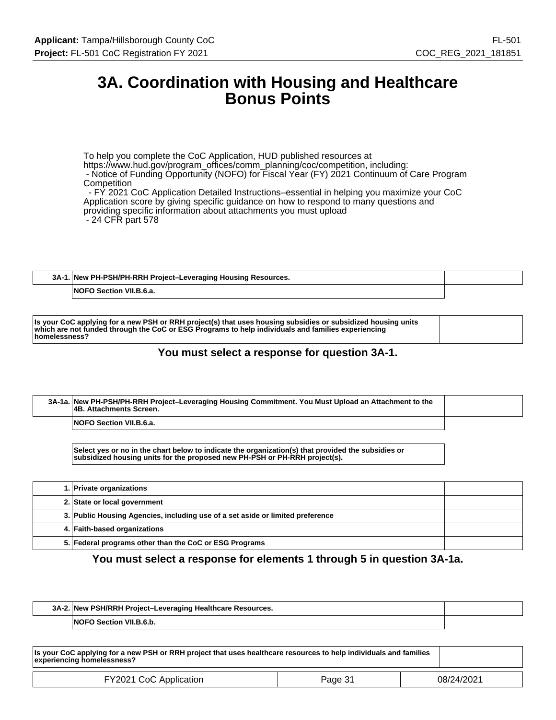## **3A. Coordination with Housing and Healthcare Bonus Points**

To help you complete the CoC Application, HUD published resources at https://www.hud.gov/program\_offices/comm\_planning/coc/competition, including: - Notice of Funding Opportunity (NOFO) for Fiscal Year (FY) 2021 Continuum of Care Program **Competition**  - FY 2021 CoC Application Detailed Instructions–essential in helping you maximize your CoC Application score by giving specific guidance on how to respond to many questions and

providing specific information about attachments you must upload

- 24 CFR part 578

| 3A-1. New PH-PSH/PH-RRH Project-Leveraging Housing Resources. |  |
|---------------------------------------------------------------|--|
| <b>NOFO Section VII.B.6.a.</b>                                |  |

### **You must select a response for question 3A-1.**

| 3A-1a. New PH-PSH/PH-RRH Project-Leveraging Housing Commitment. You Must Upload an Attachment to the<br><b>4B. Attachments Screen.</b> |  |
|----------------------------------------------------------------------------------------------------------------------------------------|--|
| <b>NOFO Section VII.B.6.a.</b>                                                                                                         |  |

**Select yes or no in the chart below to indicate the organization(s) that provided the subsidies or subsidized housing units for the proposed new PH-PSH or PH-RRH project(s).**

| 1. Private organizations                                                       |  |
|--------------------------------------------------------------------------------|--|
| 2. State or local government                                                   |  |
| 3. Public Housing Agencies, including use of a set aside or limited preference |  |
| 4. Faith-based organizations                                                   |  |
| 5. Federal programs other than the CoC or ESG Programs                         |  |

### **You must select a response for elements 1 through 5 in question 3A-1a.**

| 3A-2. New PSH/RRH Project-Leveraging Healthcare Resources. |  |
|------------------------------------------------------------|--|
| <b>NOFO Section VII.B.6.b.</b>                             |  |

| Is your CoC applying for a new PSH or RRH project that uses healthcare resources to help individuals and families<br>experiencing homelessness? |         |            |
|-------------------------------------------------------------------------------------------------------------------------------------------------|---------|------------|
| FY2021 CoC Application                                                                                                                          | Page 31 | 08/24/2021 |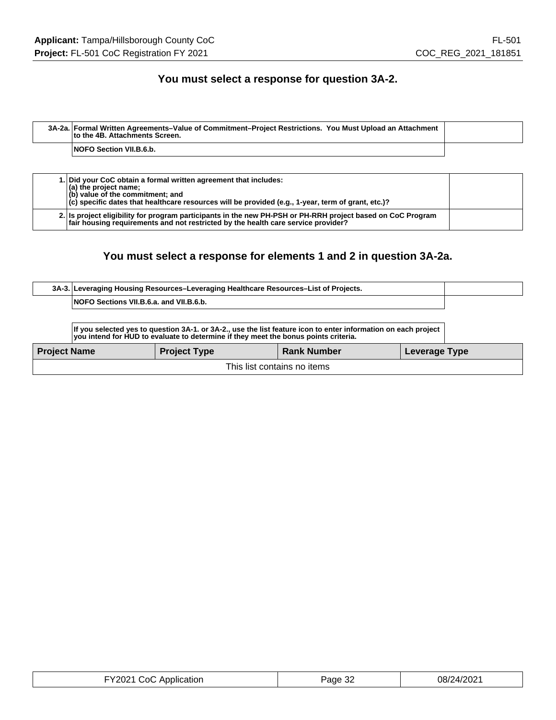## **You must select a response for question 3A-2.**

| 3A-2a. Formal Written Agreements-Value of Commitment-Project Restrictions. You Must Upload an Attachment<br>to the 4B. Attachments Screen. |  |
|--------------------------------------------------------------------------------------------------------------------------------------------|--|
| <b>NOFO Section VII.B.6.b.</b>                                                                                                             |  |
|                                                                                                                                            |  |

|  | 1. Did your CoC obtain a formal written agreement that includes:<br>$(a)$ the project name;<br>$ $ (b) value of the commitment; and<br>$ c\rangle$ specific dates that healthcare resources will be provided (e.g., 1-year, term of grant, etc.)? |  |
|--|---------------------------------------------------------------------------------------------------------------------------------------------------------------------------------------------------------------------------------------------------|--|
|  | 2. Is project eligibility for program participants in the new PH-PSH or PH-RRH project based on CoC Program<br>fair housing requirements and not restricted by the health care service provider?                                                  |  |

## **You must select a response for elements 1 and 2 in question 3A-2a.**

| <b>Project Name</b> |                                         | <b>Project Type</b>                                                                                                                                                                                   | <b>Rank Number</b> | Leverage Type |  |
|---------------------|-----------------------------------------|-------------------------------------------------------------------------------------------------------------------------------------------------------------------------------------------------------|--------------------|---------------|--|
|                     |                                         | If you selected yes to question 3A-1. or 3A-2., use the list feature icon to enter information on each project<br>you intend for HUD to evaluate to determine if they meet the bonus points criteria. |                    |               |  |
|                     | NOFO Sections VII.B.6.a. and VII.B.6.b. |                                                                                                                                                                                                       |                    |               |  |
|                     |                                         | 3A-3. Leveraging Housing Resources-Leveraging Healthcare Resources-List of Projects.                                                                                                                  |                    |               |  |

This list contains no items

| FY2021 CoC Application | Page 32 | 08/24/2021 |
|------------------------|---------|------------|
|------------------------|---------|------------|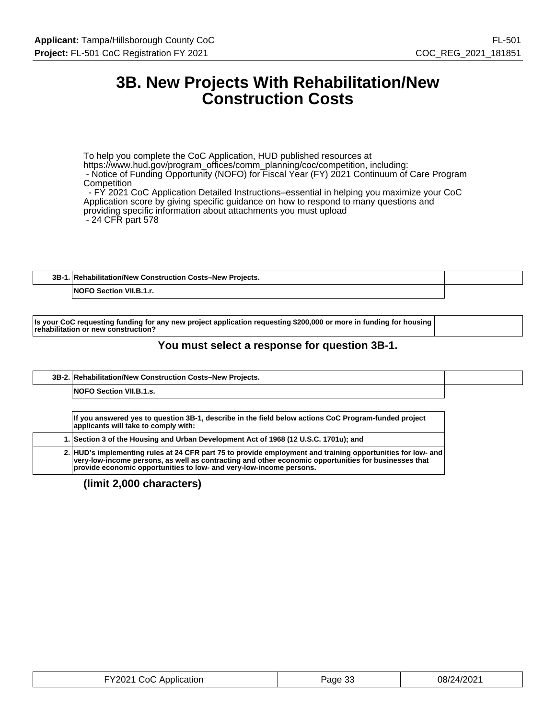## **3B. New Projects With Rehabilitation/New Construction Costs**

To help you complete the CoC Application, HUD published resources at https://www.hud.gov/program\_offices/comm\_planning/coc/competition, including: - Notice of Funding Opportunity (NOFO) for Fiscal Year (FY) 2021 Continuum of Care Program **Competition**  - FY 2021 CoC Application Detailed Instructions–essential in helping you maximize your CoC Application score by giving specific guidance on how to respond to many questions and providing specific information about attachments you must upload

- 24 CFR part 578

**3B-1. Rehabilitation/New Construction Costs–New Projects.**

**NOFO Section VII.B.1.r.**

**Is your CoC requesting funding for any new project application requesting \$200,000 or more in funding for housing rehabilitation or new construction?**

### **You must select a response for question 3B-1.**

**3B-2. Rehabilitation/New Construction Costs–New Projects.**

**NOFO Section VII.B.1.s.**

**If you answered yes to question 3B-1, describe in the field below actions CoC Program-funded project applicants will take to comply with:**

**1. Section 3 of the Housing and Urban Development Act of 1968 (12 U.S.C. 1701u); and**

**2. HUD's implementing rules at 24 CFR part 75 to provide employment and training opportunities for low- and very-low-income persons, as well as contracting and other economic opportunities for businesses that provide economic opportunities to low- and very-low-income persons.**

| FY2021 CoC Application | Page 33 | 08/24/2021 |
|------------------------|---------|------------|
|------------------------|---------|------------|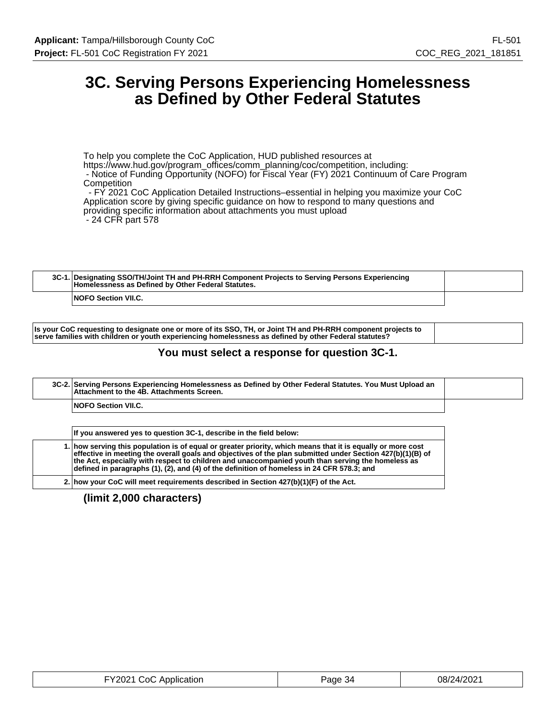## **3C. Serving Persons Experiencing Homelessness as Defined by Other Federal Statutes**

To help you complete the CoC Application, HUD published resources at https://www.hud.gov/program\_offices/comm\_planning/coc/competition, including: - Notice of Funding Opportunity (NOFO) for Fiscal Year (FY) 2021 Continuum of Care Program **Competition** - FY 2021 CoC Application Detailed Instructions–essential in helping you maximize your CoC

Application score by giving specific guidance on how to respond to many questions and providing specific information about attachments you must upload - 24 CFR part 578

| 3C-1. Designating SSO/TH/Joint TH and PH-RRH Component Projects to Serving Persons Experiencing<br>Homelessness as Defined by Other Federal Statutes. |  |
|-------------------------------------------------------------------------------------------------------------------------------------------------------|--|
| <b>NOFO Section VII.C.</b>                                                                                                                            |  |

**Is your CoC requesting to designate one or more of its SSO, TH, or Joint TH and PH-RRH component projects to serve families with children or youth experiencing homelessness as defined by other Federal statutes?**

### **You must select a response for question 3C-1.**

| Attachment to the 4B. Attachments Screen. |  |
|-------------------------------------------|--|
| <b>NOFO Section VII.C.</b>                |  |
|                                           |  |

| If you answered yes to question 3C-1, describe in the field below:                                                                                                                                                                                                                                                                                                                                                                    |  |
|---------------------------------------------------------------------------------------------------------------------------------------------------------------------------------------------------------------------------------------------------------------------------------------------------------------------------------------------------------------------------------------------------------------------------------------|--|
| 1. how serving this population is of equal or greater priority, which means that it is equally or more cost<br>effective in meeting the overall goals and objectives of the plan submitted under Section 427(b)(1)(B) of<br>$\,$ the Act. especially with respect to children and unaccompanied vouth than serving the homeless as $\,$<br>defined in paragraphs (1), (2), and (4) of the definition of homeless in 24 CFR 578.3; and |  |
| 2. how your CoC will meet requirements described in Section $427(b)(1)(F)$ of the Act.                                                                                                                                                                                                                                                                                                                                                |  |

| FY2021 CoC Application | Page 34 | 08/24/2021 |
|------------------------|---------|------------|
|------------------------|---------|------------|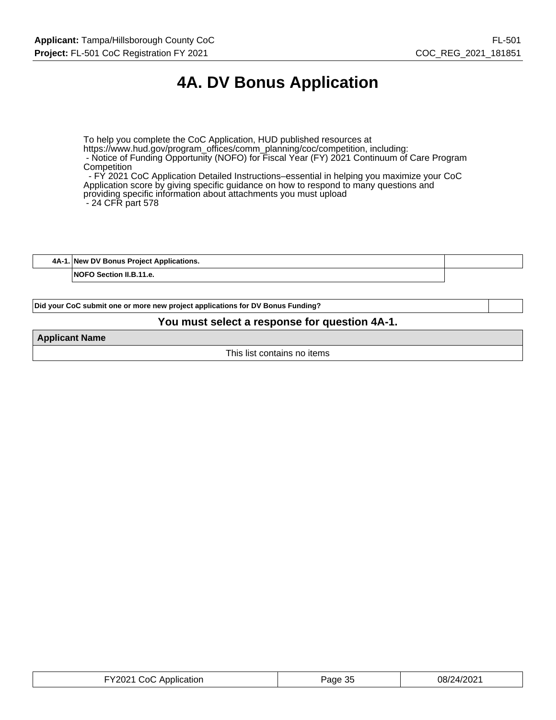# **4A. DV Bonus Application**

To help you complete the CoC Application, HUD published resources at https://www.hud.gov/program\_offices/comm\_planning/coc/competition, including: - Notice of Funding Opportunity (NOFO) for Fiscal Year (FY) 2021 Continuum of Care Program Competition - FY 2021 CoC Application Detailed Instructions–essential in helping you maximize your CoC

Application score by giving specific guidance on how to respond to many questions and providing specific information about attachments you must upload - 24 CFR part 578

**4A-1. New DV Bonus Project Applications.**

**NOFO Section II.B.11.e.**

**Did your CoC submit one or more new project applications for DV Bonus Funding?**

#### **You must select a response for question 4A-1.**

**Applicant Name**

This list contains no items

| FY2021 CoC Application | Page 35 | 08/24/2021 |
|------------------------|---------|------------|
|------------------------|---------|------------|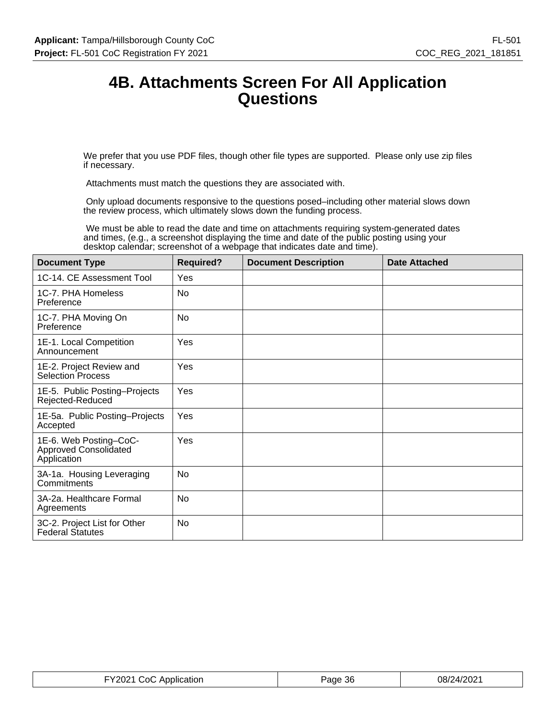## **4B. Attachments Screen For All Application Questions**

We prefer that you use PDF files, though other file types are supported. Please only use zip files if necessary.

Attachments must match the questions they are associated with.

 Only upload documents responsive to the questions posed–including other material slows down the review process, which ultimately slows down the funding process.

 We must be able to read the date and time on attachments requiring system-generated dates and times, (e.g., a screenshot displaying the time and date of the public posting using your desktop calendar; screenshot of a webpage that indicates date and time).

| <b>Document Type</b>                                                  | <b>Required?</b> | <b>Document Description</b> | <b>Date Attached</b> |
|-----------------------------------------------------------------------|------------------|-----------------------------|----------------------|
| 1C-14. CE Assessment Tool                                             | Yes              |                             |                      |
| 1C-7. PHA Homeless<br>Preference                                      | <b>No</b>        |                             |                      |
| 1C-7. PHA Moving On<br>Preference                                     | <b>No</b>        |                             |                      |
| 1E-1. Local Competition<br>Announcement                               | Yes              |                             |                      |
| 1E-2. Project Review and<br><b>Selection Process</b>                  | Yes              |                             |                      |
| 1E-5. Public Posting-Projects<br>Rejected-Reduced                     | Yes              |                             |                      |
| 1E-5a. Public Posting-Projects<br>Accepted                            | Yes              |                             |                      |
| 1E-6. Web Posting-CoC-<br><b>Approved Consolidated</b><br>Application | Yes              |                             |                      |
| 3A-1a. Housing Leveraging<br>Commitments                              | <b>No</b>        |                             |                      |
| 3A-2a. Healthcare Formal<br>Agreements                                | No               |                             |                      |
| 3C-2. Project List for Other<br><b>Federal Statutes</b>               | No               |                             |                      |

| FY2021 CoC Application | Page 36 | 08/24/2021 |
|------------------------|---------|------------|
|------------------------|---------|------------|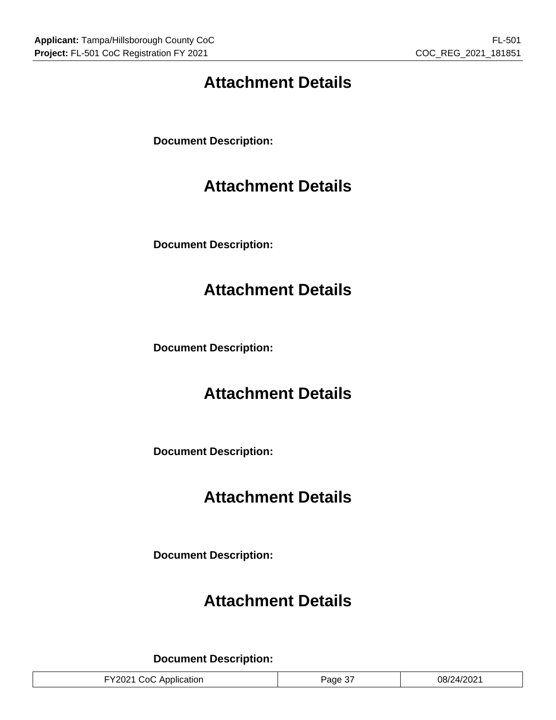# **Attachment Details**

**Document Description:**

# **Attachment Details**

**Document Description:**

# **Attachment Details**

**Document Description:**

## **Attachment Details**

**Document Description:**

# **Attachment Details**

**Document Description:**

## **Attachment Details**

**Document Description:**

| 08/24/2021<br>FY2021 CoC Application<br>Page 3, |  |
|-------------------------------------------------|--|
|-------------------------------------------------|--|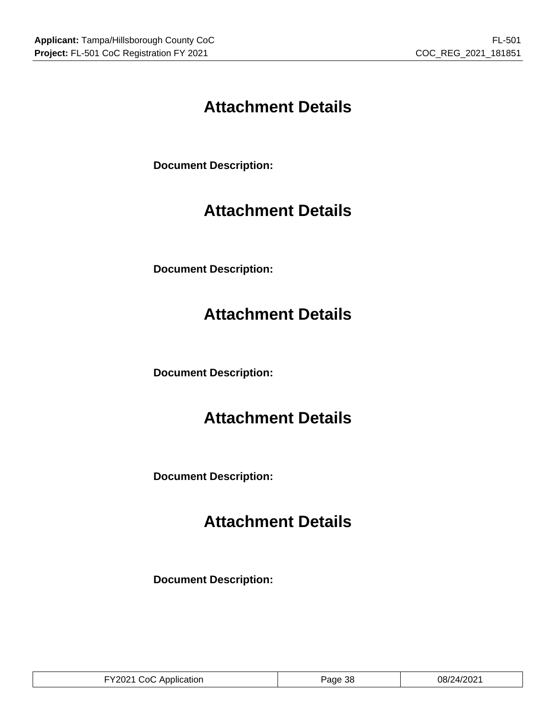# **Attachment Details**

**Document Description:**

# **Attachment Details**

**Document Description:**

# **Attachment Details**

**Document Description:**

# **Attachment Details**

**Document Description:**

# **Attachment Details**

**Document Description:**

| CoC Application<br>$-V2021$ L | -38<br>'age | 08/24/2021 |
|-------------------------------|-------------|------------|
|-------------------------------|-------------|------------|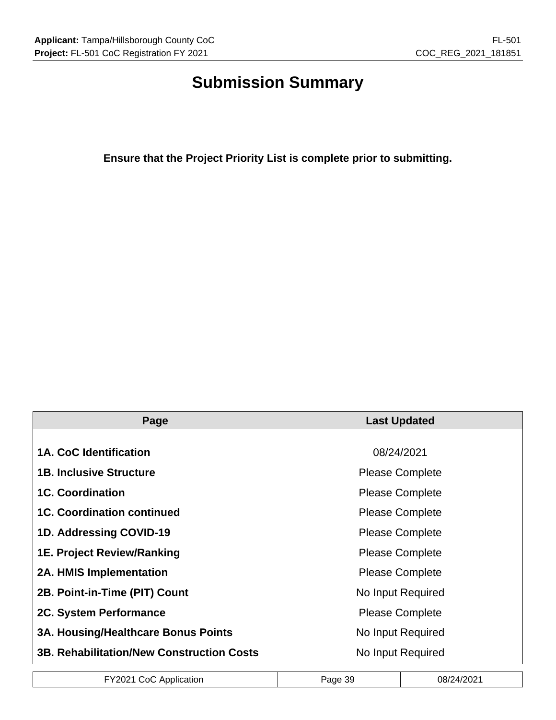# **Submission Summary**

**Ensure that the Project Priority List is complete prior to submitting.**

| Page                                             | <b>Last Updated</b>    |
|--------------------------------------------------|------------------------|
|                                                  |                        |
| 1A. CoC Identification                           | 08/24/2021             |
| <b>1B. Inclusive Structure</b>                   | <b>Please Complete</b> |
| <b>1C. Coordination</b>                          | <b>Please Complete</b> |
| <b>1C. Coordination continued</b>                | <b>Please Complete</b> |
| 1D. Addressing COVID-19                          | <b>Please Complete</b> |
| <b>1E. Project Review/Ranking</b>                | <b>Please Complete</b> |
| <b>2A. HMIS Implementation</b>                   | <b>Please Complete</b> |
| 2B. Point-in-Time (PIT) Count                    | No Input Required      |
| 2C. System Performance                           | <b>Please Complete</b> |
| <b>3A. Housing/Healthcare Bonus Points</b>       | No Input Required      |
| <b>3B. Rehabilitation/New Construction Costs</b> | No Input Required      |

| FY2021 CoC Application | Page 39 | 08/24/2021 |
|------------------------|---------|------------|
|------------------------|---------|------------|